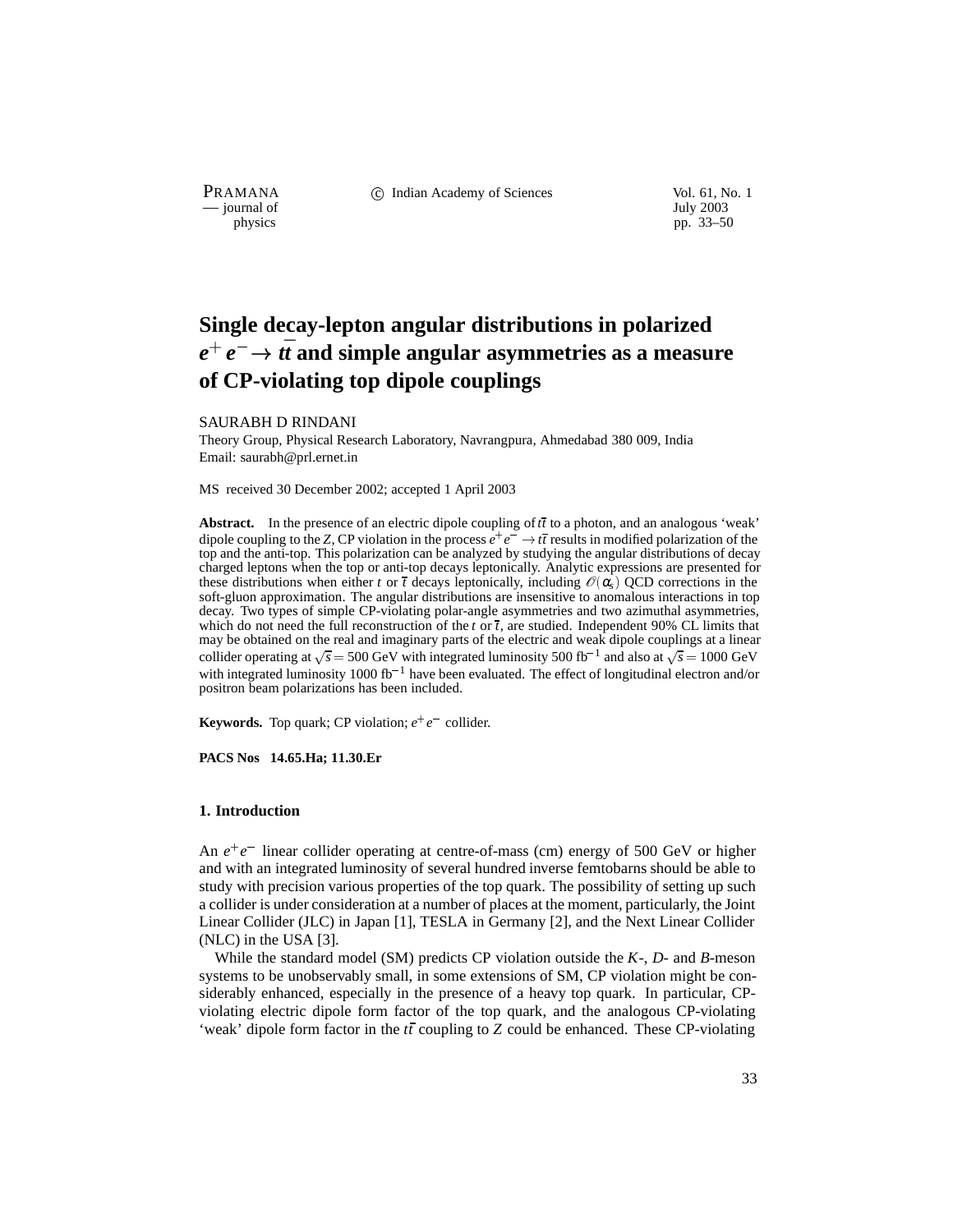— journal of July 2003

**PRAMANA** (C) Indian Academy of Sciences Vol. 61, No. 1

physics pp. 33–50

# **Single decay-lepton angular distributions in polarized**  $e^+e^-\!\rightarrow t\bar{t}$  and simple angular asymmetries as a measure **of CP-violating top dipole couplings**

## SAURABH D RINDANI

Theory Group, Physical Research Laboratory, Navrangpura, Ahmedabad 380 009, India Email: saurabh@prl.ernet.in

MS received 30 December 2002; accepted 1 April 2003

**Abstract.** In the presence of an electric dipole coupling of  $t\bar{t}$  to a photon, and an analogous 'weak' dipole coupling to the *Z*, CP violation in the process  $e^+e^- \rightarrow t\bar{t}$  results in modified polarization of the top and the anti-top. This polarization can be analyzed by studying the angular distributions of decay charged leptons when the top or anti-top decays leptonically. Analytic expressions are presented for these distributions when either *t* or  $\bar{t}$  decays leptonically, including  $\mathcal{O}(\alpha_s)$  QCD corrections in the soft-gluon approximation. The angular distributions are insensitive to anomalous interactions in top decay. Two types of simple CP-violating polar-angle asymmetries and two azimuthal asymmetries, which do not need the full reconstruction of the *t* or  $\bar{t}$ , are studied. Independent 90% CL limits that may be obtained on the real and imaginary parts of the electric and weak dipole couplings at a linear collider operating at  $\sqrt{s}$  = 500 GeV with integrated luminosity 500 fb<sup>-1</sup> and also at  $\sqrt{s}$  = 1000 GeV with integrated luminosity 1000 fb<sup>-1</sup> have been evaluated. The effect of longitudinal electron and/or positron beam polarizations has been included.

**Keywords.** Top quark; CP violation;  $e^+e^-$  collider.

**PACS Nos 14.65.Ha; 11.30.Er**

## **1. Introduction**

An  $e^+e^-$  linear collider operating at centre-of-mass (cm) energy of 500 GeV or higher and with an integrated luminosity of several hundred inverse femtobarns should be able to study with precision various properties of the top quark. The possibility of setting up such a collider is under consideration at a number of places at the moment, particularly, the Joint Linear Collider (JLC) in Japan [1], TESLA in Germany [2], and the Next Linear Collider (NLC) in the USA [3].

While the standard model (SM) predicts CP violation outside the *K*-, *D*- and *B*-meson systems to be unobservably small, in some extensions of SM, CP violation might be considerably enhanced, especially in the presence of a heavy top quark. In particular, CPviolating electric dipole form factor of the top quark, and the analogous CP-violating 'weak' dipole form factor in the *tt* coupling to *Z* could be enhanced. These CP-violating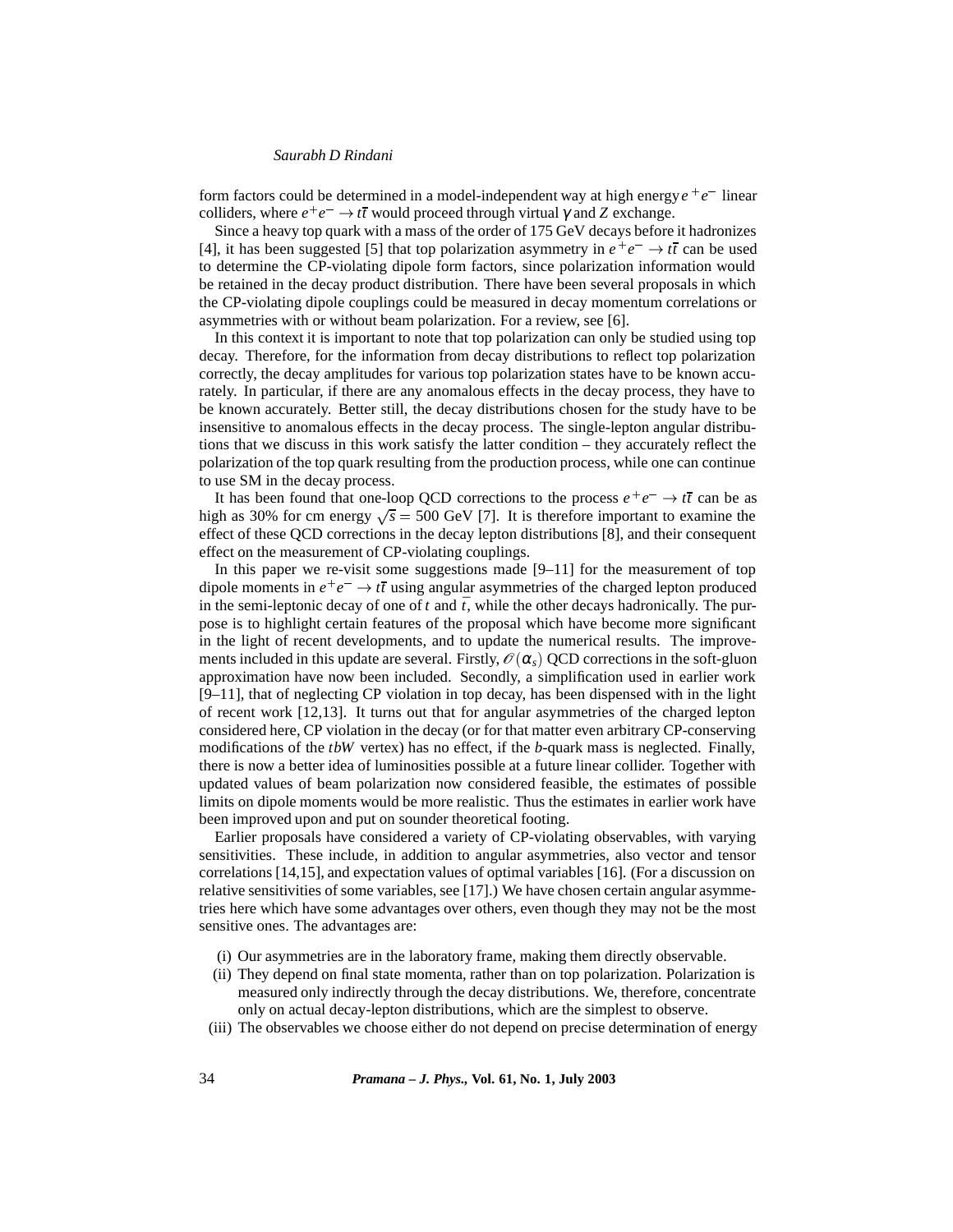form factors could be determined in a model-independent way at high energy  $e^+e^-$  linear colliders, where  $e^+e^- \to t\bar{t}$  would proceed through virtual  $\gamma$  and *Z* exchange.

Since a heavy top quark with a mass of the order of 175 GeV decays before it hadronizes [4], it has been suggested [5] that top polarization asymmetry in  $e^+e^- \rightarrow t\bar{t}$  can be used to determine the CP-violating dipole form factors, since polarization information would be retained in the decay product distribution. There have been several proposals in which the CP-violating dipole couplings could be measured in decay momentum correlations or asymmetries with or without beam polarization. For a review, see [6].

In this context it is important to note that top polarization can only be studied using top decay. Therefore, for the information from decay distributions to reflect top polarization correctly, the decay amplitudes for various top polarization states have to be known accurately. In particular, if there are any anomalous effects in the decay process, they have to be known accurately. Better still, the decay distributions chosen for the study have to be insensitive to anomalous effects in the decay process. The single-lepton angular distributions that we discuss in this work satisfy the latter condition – they accurately reflect the polarization of the top quark resulting from the production process, while one can continue to use SM in the decay process.

It has been found that one-loop QCD corrections to the process  $e^+e^- \rightarrow t\bar{t}$  can be as high as 30% for cm energy  $\sqrt{s}$  = 500 GeV [7]. It is therefore important to examine the effect of these QCD corrections in the decay lepton distributions [8], and their consequent effect on the measurement of CP-violating couplings.

In this paper we re-visit some suggestions made  $[9-11]$  for the measurement of top dipole moments in  $e^+e^- \rightarrow t\bar{t}$  using angular asymmetries of the charged lepton produced in the semi-leptonic decay of one of  $t$  and  $\bar{t}$ , while the other decays hadronically. The purpose is to highlight certain features of the proposal which have become more significant in the light of recent developments, and to update the numerical results. The improvements included in this update are several. Firstly,  $\mathcal{O}(\alpha_s)$  QCD corrections in the soft-gluon approximation have now been included. Secondly, a simplification used in earlier work [9–11], that of neglecting CP violation in top decay, has been dispensed with in the light of recent work [12,13]. It turns out that for angular asymmetries of the charged lepton considered here, CP violation in the decay (or for that matter even arbitrary CP-conserving modifications of the *tbW* vertex) has no effect, if the *b*-quark mass is neglected. Finally, there is now a better idea of luminosities possible at a future linear collider. Together with updated values of beam polarization now considered feasible, the estimates of possible limits on dipole moments would be more realistic. Thus the estimates in earlier work have been improved upon and put on sounder theoretical footing.

Earlier proposals have considered a variety of CP-violating observables, with varying sensitivities. These include, in addition to angular asymmetries, also vector and tensor correlations [14,15], and expectation values of optimal variables [16]. (For a discussion on relative sensitivities of some variables, see [17].) We have chosen certain angular asymmetries here which have some advantages over others, even though they may not be the most sensitive ones. The advantages are:

- (i) Our asymmetries are in the laboratory frame, making them directly observable.
- (ii) They depend on final state momenta, rather than on top polarization. Polarization is measured only indirectly through the decay distributions. We, therefore, concentrate only on actual decay-lepton distributions, which are the simplest to observe.
- (iii) The observables we choose either do not depend on precise determination of energy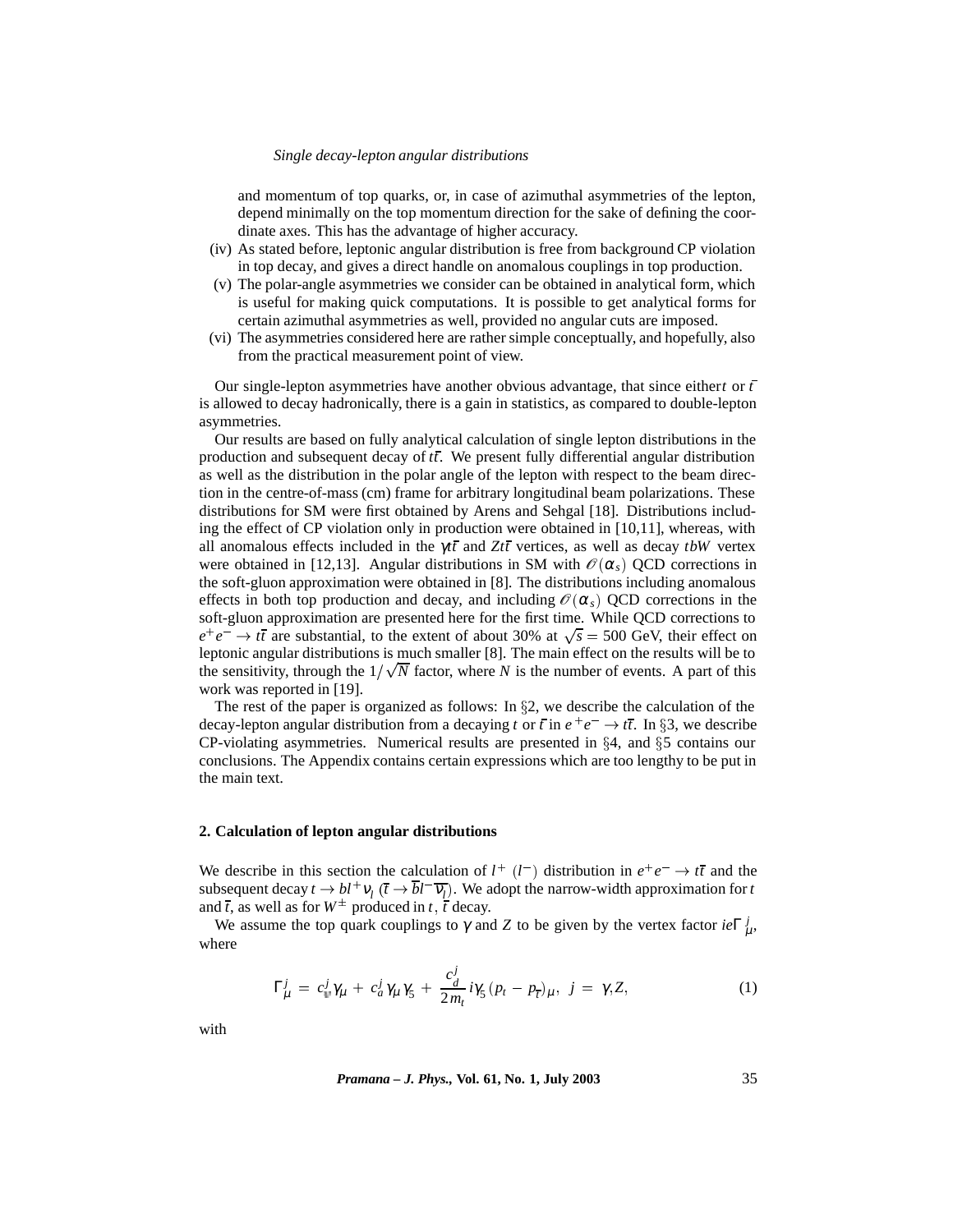and momentum of top quarks, or, in case of azimuthal asymmetries of the lepton, depend minimally on the top momentum direction for the sake of defining the coordinate axes. This has the advantage of higher accuracy.

- (iv) As stated before, leptonic angular distribution is free from background CP violation in top decay, and gives a direct handle on anomalous couplings in top production.
- (v) The polar-angle asymmetries we consider can be obtained in analytical form, which is useful for making quick computations. It is possible to get analytical forms for certain azimuthal asymmetries as well, provided no angular cuts are imposed.
- (vi) The asymmetries considered here are rather simple conceptually, and hopefully, also from the practical measurement point of view.

Our single-lepton asymmetries have another obvious advantage, that since either*t* or *t* is allowed to decay hadronically, there is a gain in statistics, as compared to double-lepton asymmetries.

Our results are based on fully analytical calculation of single lepton distributions in the production and subsequent decay of *tt*. We present fully differential angular distribution as well as the distribution in the polar angle of the lepton with respect to the beam direction in the centre-of-mass (cm) frame for arbitrary longitudinal beam polarizations. These distributions for SM were first obtained by Arens and Sehgal [18]. Distributions including the effect of CP violation only in production were obtained in [10,11], whereas, with all anomalous effects included in the γ*tt* and *Ztt* vertices, as well as decay *tbW* vertex were obtained in [12,13]. Angular distributions in SM with  $\mathcal{O}(\alpha_s)$  QCD corrections in the soft-gluon approximation were obtained in [8]. The distributions including anomalous effects in both top production and decay, and including  $\mathcal{O}(\alpha_s)$  QCD corrections in the soft-gluon approximation are presented here for the first time. While QCD corrections to  $e^+e^- \rightarrow t\bar{t}$  are substantial, to the extent of about 30% at  $\sqrt{s} = 500$  GeV, their effect on leptonic angular distributions is much smaller [8]. The main effect on the results will be to the sensitivity, through the  $1/\sqrt{N}$  factor, where *N* is the number of events. A part of this work was reported in [19].

The rest of the paper is organized as follows: In  $\S$ 2, we describe the calculation of the decay-lepton angular distribution from a decaying *t* or *t* in  $e^+e^- \rightarrow t\bar{t}$ . In §3, we describe CP-violating asymmetries. Numerical results are presented in  $\S 4$ , and  $\S 5$  contains our conclusions. The Appendix contains certain expressions which are too lengthy to be put in the main text.

## **2. Calculation of lepton angular distributions**

We describe in this section the calculation of  $l^+(l^-)$  distribution in  $e^+e^- \rightarrow t\bar{t}$  and the subsequent decay  $t \to bl^+v_l$  ( $\overline{t} \to bl^-v_l$ ). We adopt the narrow-width approximation for *t* and  $\bar{t}$ , as well as for  $W^{\pm}$  produced in *t*,  $\bar{t}$  decay.

We assume the top quark couplings to  $\gamma$  and *Z* to be given by the vertex factor  $ie\Gamma^j_\mu$ , where

$$
\Gamma^j_\mu = c^j_\psi \gamma_\mu + c^j_a \gamma_\mu \gamma_5 + \frac{c^j_d}{2m_t} i\gamma_5 (p_t - p_{\overline{t}})_\mu, \ j = \gamma, Z,
$$
\n(1)

with

*Pramana – J. Phys.,* **Vol. 61, No. 1, July 2003** 35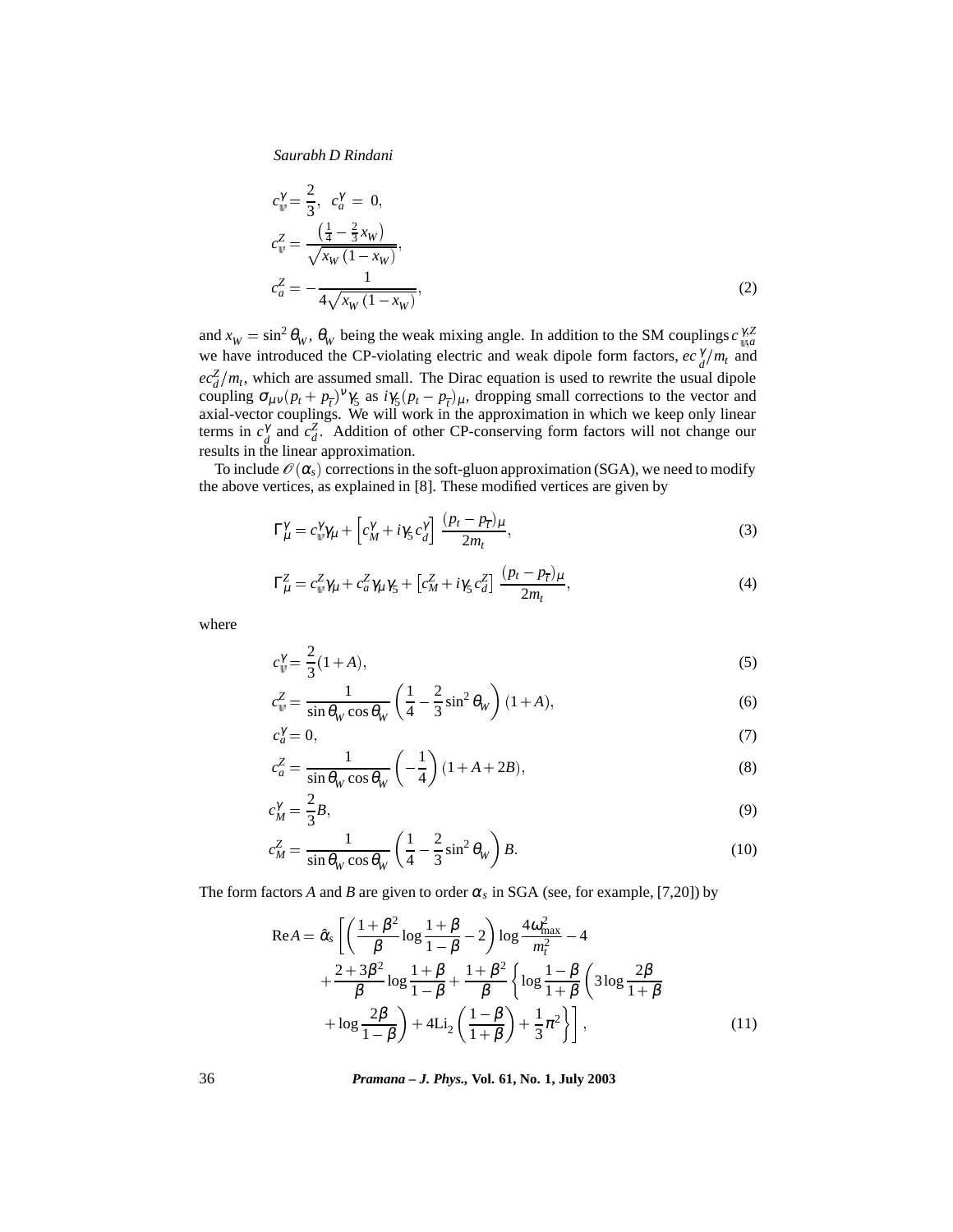$$
c_{\psi}^{\gamma} = \frac{2}{3}, \quad c_{a}^{\gamma} = 0,
$$
  
\n
$$
c_{\psi}^{Z} = \frac{\left(\frac{1}{4} - \frac{2}{3}x_{W}\right)}{\sqrt{x_{W}\left(1 - x_{W}\right)}},
$$
  
\n
$$
c_{a}^{Z} = -\frac{1}{4\sqrt{x_{W}\left(1 - x_{W}\right)}},
$$
\n(2)

and  $x_W = \sin^2 \theta_W$ ,  $\theta_W$  being the weak mixing angle. In addition to the SM couplings  $c_{\mu a}^{\gamma Z}$ we have introduced the CP-violating electric and weak dipole form factors,  $ec_d^{\gamma}/m_t$  and  $ec<sub>d</sub><sup>Z</sup>/m<sub>t</sub>$ , which are assumed small. The Dirac equation is used to rewrite the usual dipole coupling  $\sigma_{\mu\nu}(p_t + p_{\overline{t}})^{\nu}\gamma_5$  as  $i\gamma_5(p_t - p_{\overline{t}})_{\mu}$ , dropping small corrections to the vector and axial-vector couplings. We will work in the approximation in which we keep only linear terms in  $c_d^{\gamma}$  and  $c_d^{\gamma}$ . Addition of other CP-conserving form factors will not change our results in the linear approximation.

To include  $\mathcal{O}(\alpha_s)$  corrections in the soft-gluon approximation (SGA), we need to modify the above vertices, as explained in [8]. These modified vertices are given by

$$
\Gamma_{\mu}^{\gamma} = c_{\psi}^{\gamma} \gamma_{\mu} + \left[c_{M}^{\gamma} + i \gamma_{5} c_{d}^{\gamma}\right] \frac{(p_{t} - p_{\overline{t}})_{\mu}}{2m_{t}},\tag{3}
$$

$$
\Gamma_{\mu}^{Z} = c_{\psi}^{Z} \gamma_{\mu} + c_{a}^{Z} \gamma_{\mu} \gamma_{5} + \left[c_{M}^{Z} + i\gamma_{5} c_{d}^{Z}\right] \frac{(p_{t} - p_{\overline{t}})_{\mu}}{2m_{t}},\tag{4}
$$

where

$$
c_{\psi}^{\gamma} = \frac{2}{3}(1+A),\tag{5}
$$

$$
c_w^Z = \frac{1}{\sin \theta_W \cos \theta_W} \left( \frac{1}{4} - \frac{2}{3} \sin^2 \theta_W \right) (1 + A),\tag{6}
$$

$$
c_a^{\gamma} = 0,\tag{7}
$$

$$
c_a^Z = \frac{1}{\sin \theta_W \cos \theta_W} \left( -\frac{1}{4} \right) (1 + A + 2B),\tag{8}
$$

$$
c_M^{\gamma} = \frac{2}{3}B,\tag{9}
$$

$$
c_M^Z = \frac{1}{\sin \theta_W \cos \theta_W} \left( \frac{1}{4} - \frac{2}{3} \sin^2 \theta_W \right) B. \tag{10}
$$

The form factors *A* and *B* are given to order  $\alpha_s$  in SGA (see, for example, [7,20]) by

$$
\text{Re}A = \hat{\alpha}_{s} \left[ \left( \frac{1+\beta^{2}}{\beta} \log \frac{1+\beta}{1-\beta} - 2 \right) \log \frac{4\omega_{\text{max}}^{2}}{m_{t}^{2}} - 4 + \frac{2+3\beta^{2}}{\beta} \log \frac{1+\beta}{1-\beta} + \frac{1+\beta^{2}}{\beta} \left\{ \log \frac{1-\beta}{1+\beta} \left( 3 \log \frac{2\beta}{1+\beta} + \log \frac{2\beta}{1-\beta} \right) + 4 \text{Li}_{2} \left( \frac{1-\beta}{1+\beta} \right) + \frac{1}{3} \pi^{2} \right\} \right],
$$
\n(11)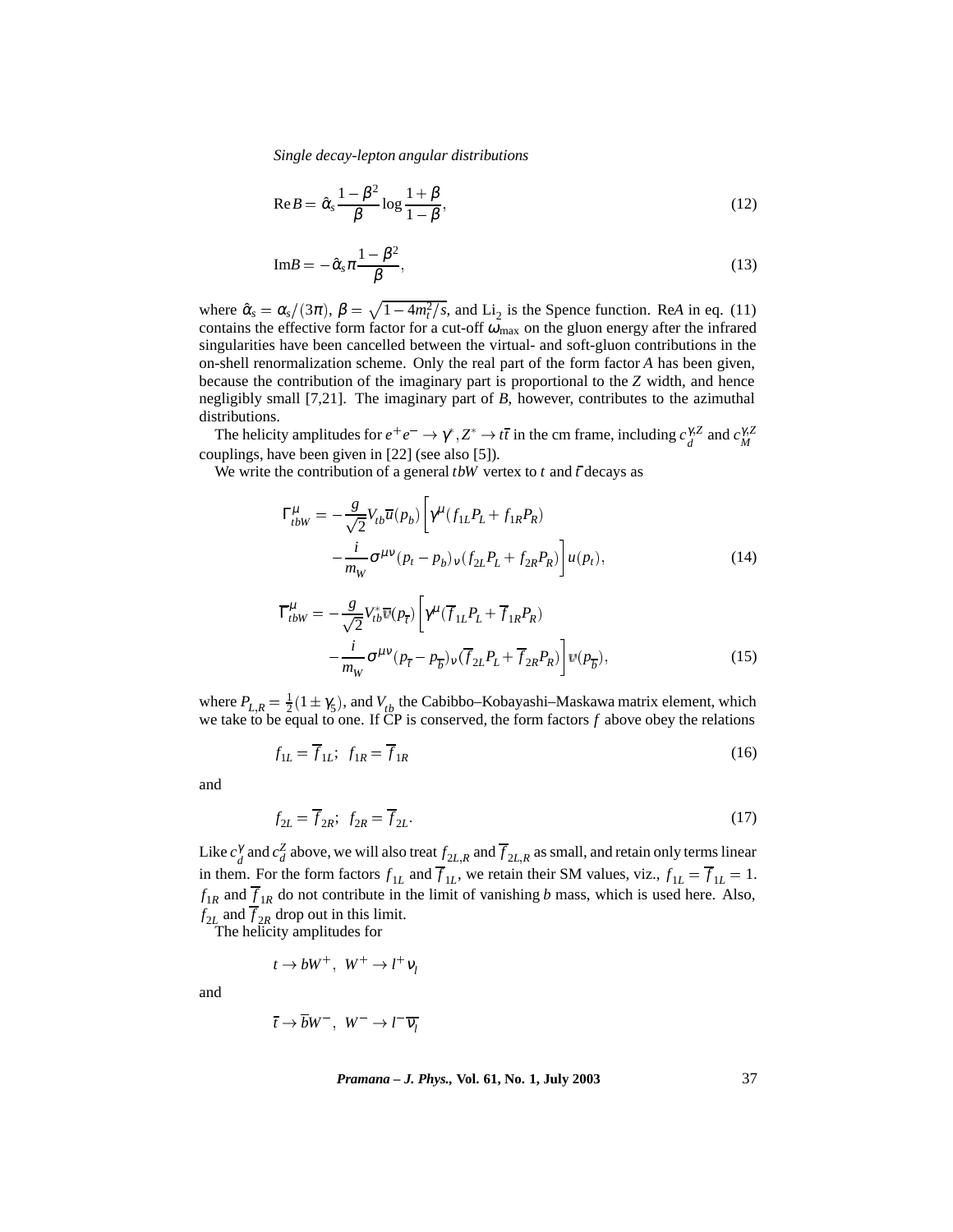$$
\text{Re}\,B = \hat{\alpha}_s \frac{1 - \beta^2}{\beta} \log \frac{1 + \beta}{1 - \beta},\tag{12}
$$

$$
\text{Im}B = -\hat{\alpha}_s \pi \frac{1 - \beta^2}{\beta},\tag{13}
$$

where  $\hat{\alpha}_s = \alpha_s/(3\pi)$ ,  $\beta = \sqrt{1 - 4m_t^2/s}$ , and Li<sub>2</sub> is the Spence function. Re*A* in eq. (11) contains the effective form factor for a cut-off  $\omega_{\text{max}}$  on the gluon energy after the infrared singularities have been cancelled between the virtual- and soft-gluon contributions in the on-shell renormalization scheme. Only the real part of the form factor *A* has been given, because the contribution of the imaginary part is proportional to the *Z* width, and hence negligibly small [7,21]. The imaginary part of *B*, however, contributes to the azimuthal distributions.

The helicity amplitudes for  $e^+e^- \to \gamma^*, Z^* \to t\bar{t}$  in the cm frame, including  $c_d^{\gamma, Z}$  and  $c_M^{\gamma, Z}$ couplings, have been given in [22] (see also [5]).

We write the contribution of a general  $t$ *bW* vertex to  $t$  and  $\bar{t}$  decays as

$$
\Gamma_{tbW}^{\mu} = -\frac{g}{\sqrt{2}} V_{tb} \overline{u}(p_b) \left[ \gamma^{\mu} (f_{1L} P_L + f_{1R} P_R) - \frac{i}{m_W} \sigma^{\mu \nu} (p_t - p_b)_{\nu} (f_{2L} P_L + f_{2R} P_R) \right] u(p_t), \qquad (14)
$$

$$
\overline{\Gamma}_{tbW}^{\mu} = -\frac{g}{\sqrt{2}} V_{tb}^* \overline{v}(p_{\overline{t}}) \left[ \gamma^{\mu} (\overline{f}_{1L} P_L + \overline{f}_{1R} P_R) - \frac{i}{m_W} \sigma^{\mu \nu} (p_{\overline{t}} - p_{\overline{b}})_{\nu} (\overline{f}_{2L} P_L + \overline{f}_{2R} P_R) \right] v(p_{\overline{b}}), \tag{15}
$$

where  $P_{L,R} = \frac{1}{2}(1 \pm \gamma_5)$ , and  $V_{tb}$  the Cabibbo–Kobayashi–Maskawa matrix element, which we take to be equal to one. If  $\overline{CP}$  is conserved, the form factors  $f$  above obey the relations

$$
f_{1L} = \overline{f}_{1L}; \ f_{1R} = \overline{f}_{1R} \tag{16}
$$

and

$$
f_{2L} = \overline{f}_{2R}; \ f_{2R} = \overline{f}_{2L}.
$$

Like  $c_d^{\gamma}$  and  $c_d^Z$  above, we will also treat  $f_{2L,R}$  and  $\overline{f}_{2L,R}$  as small, and retain only terms linear in them. For the form factors  $f_{1L}$  and  $\overline{f}_{1L}$ , we retain their SM values, viz.,  $f_{1L} = \overline{f}_{1L} = 1$ .  $f_{1R}$  and  $\overline{f}_{1R}$  do not contribute in the limit of vanishing *b* mass, which is used here. Also,  $f_{2L}$  and  $f_{2R}$  drop out in this limit.

The helicity amplitudes for

 $t \to bW^+$ ,  $W^+ \to l^+\nu_l$ 

and

$$
\overline{t} \to \overline{b}W^-, \ W^- \to l^-\overline{v_l}
$$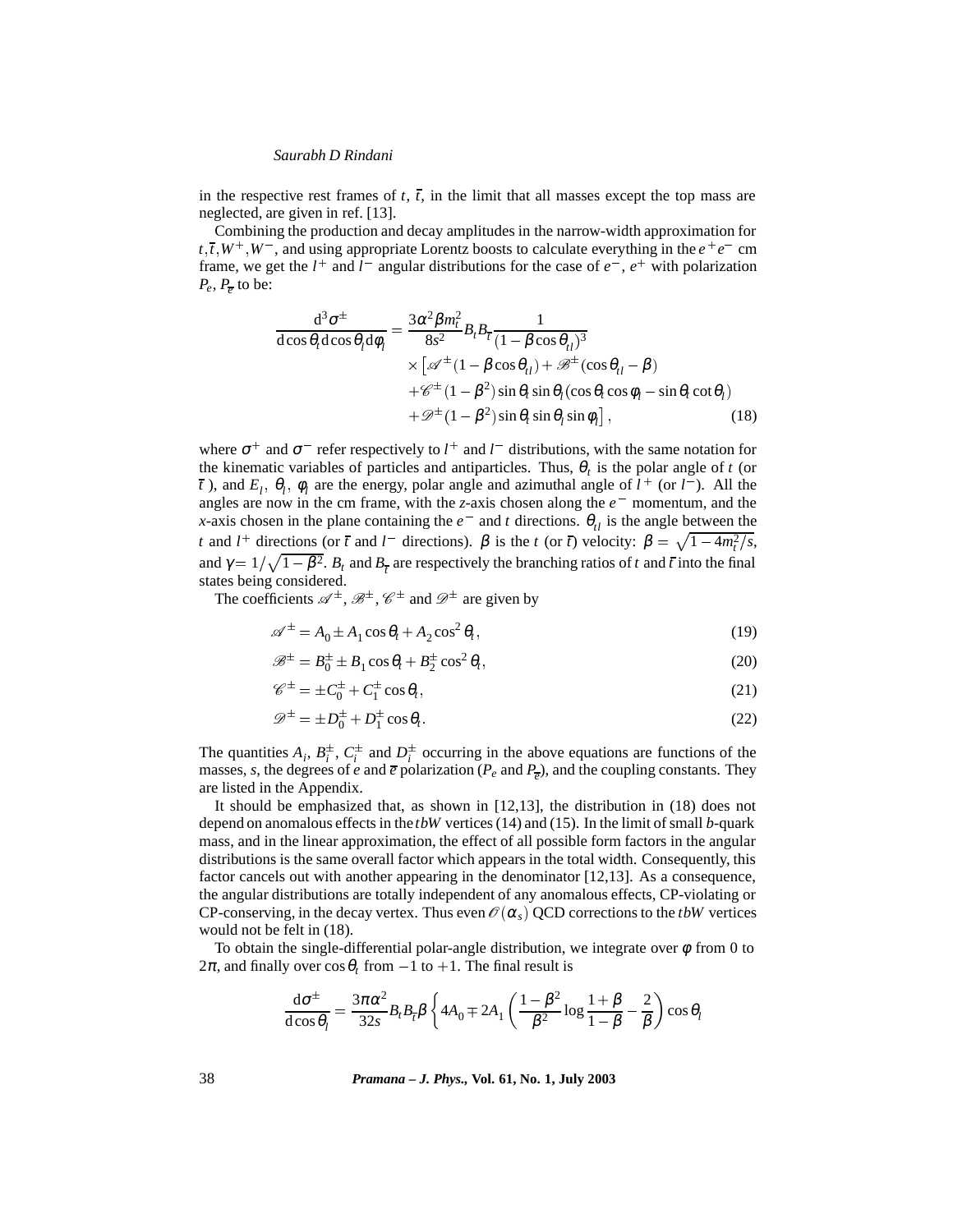in the respective rest frames of  $t$ ,  $\bar{t}$ , in the limit that all masses except the top mass are neglected, are given in ref. [13].

Combining the production and decay amplitudes in the narrow-width approximation for  $t, \bar{t}, W^+, W^-,$  and using appropriate Lorentz boosts to calculate everything in the  $e^+e^-$  cm frame, we get the  $l^+$  and  $l^-$  angular distributions for the case of  $e^-$ ,  $e^+$  with polarization  $P_e$ ,  $P_{\overline{e}}$  to be:

$$
\frac{d^3 \sigma^{\pm}}{d \cos \theta_t d \cos \theta_l d \phi_l} = \frac{3 \alpha^2 \beta m_t^2}{8s^2} B_t B_{\bar{t}} \frac{1}{(1 - \beta \cos \theta_{t}^2)^3} \times \left[ \mathcal{A}^{\pm} (1 - \beta \cos \theta_{t}^2) + \mathcal{B}^{\pm} (\cos \theta_{t}^2 - \beta) \right. \\ \left. + \mathcal{C}^{\pm} (1 - \beta^2) \sin \theta_t \sin \theta_l (\cos \theta_t \cos \phi_l - \sin \theta_t \cot \theta_l) \right. \\left. + \mathcal{D}^{\pm} (1 - \beta^2) \sin \theta_t \sin \theta_l \sin \phi_l \right],
$$
\n(18)

where  $\sigma^+$  and  $\sigma^-$  refer respectively to  $l^+$  and  $l^-$  distributions, with the same notation for the kinematic variables of particles and antiparticles. Thus,  $\theta_t$  is the polar angle of *t* (or *t*), and  $E_l$ ,  $\theta_l$ ,  $\phi_l$  are the energy, polar angle and azimuthal angle of  $l^+$  (or  $l^-$ ). All the angles are now in the cm frame, with the *z*-axis chosen along the  $e^-$  momentum, and the *x*-axis chosen in the plane containing the  $e^-$  and *t* directions.  $\theta_{tl}$  is the angle between the *t* and  $l^+$  directions (or  $\bar{t}$  and  $l^-$  directions).  $\beta$  is the *t* (or  $\bar{t}$ ) velocity:  $\beta = \sqrt{1 - 4m_t^2/s}$ , and  $\gamma = 1/\sqrt{1 - \beta^2}$ . *B<sub>t</sub>* and *B<sub>t</sub>* are respectively the branching ratios of *t* and *t* into the final states being considered.

The coefficients  $\mathscr{A}^{\pm}$ ,  $\mathscr{B}^{\pm}$ ,  $\mathscr{C}^{\pm}$  and  $\mathscr{D}^{\pm}$  are given by

$$
\mathscr{A}^{\pm} = A_0 \pm A_1 \cos \theta_t + A_2 \cos^2 \theta_t, \tag{19}
$$

$$
\mathcal{B}^{\pm} = B_0^{\pm} \pm B_1 \cos \theta_t + B_2^{\pm} \cos^2 \theta_t, \tag{20}
$$

$$
\mathscr{C}^{\pm} = \pm C_0^{\pm} + C_1^{\pm} \cos \theta_t, \tag{21}
$$

$$
\mathscr{D}^{\pm} = \pm D_0^{\pm} + D_1^{\pm} \cos \theta_t. \tag{22}
$$

The quantities  $A_i$ ,  $B_i^{\pm}$ ,  $C_i^{\pm}$  and  $D_i^{\pm}$  occurring in the above equations are functions of the masses, *s*, the degrees of *e* and  $\overline{e}$  polarization ( $P_e$  and  $P_{\overline{e}}$ ), and the coupling constants. They are listed in the Appendix.

It should be emphasized that, as shown in [12,13], the distribution in (18) does not depend on anomalous effects in the *tbW* vertices (14) and (15). In the limit of small *b*-quark mass, and in the linear approximation, the effect of all possible form factors in the angular distributions is the same overall factor which appears in the total width. Consequently, this factor cancels out with another appearing in the denominator [12,13]. As a consequence, the angular distributions are totally independent of any anomalous effects, CP-violating or CP-conserving, in the decay vertex. Thus even  $\mathcal{O}(\alpha_s)$  QCD corrections to the *tbW* vertices would not be felt in (18).

To obtain the single-differential polar-angle distribution, we integrate over  $\phi$  from 0 to  $2\pi$ , and finally over  $\cos\theta_t$  from  $-1$  to  $+1$ . The final result is

$$
\frac{d\sigma^{\pm}}{d\cos\theta_{l}} = \frac{3\pi\alpha^{2}}{32s}B_{l}B_{\overline{l}}\beta\left\{4A_{0} \mp 2A_{1}\left(\frac{1-\beta^{2}}{\beta^{2}}\log\frac{1+\beta}{1-\beta}-\frac{2}{\beta}\right)\cos\theta_{l}\right\}
$$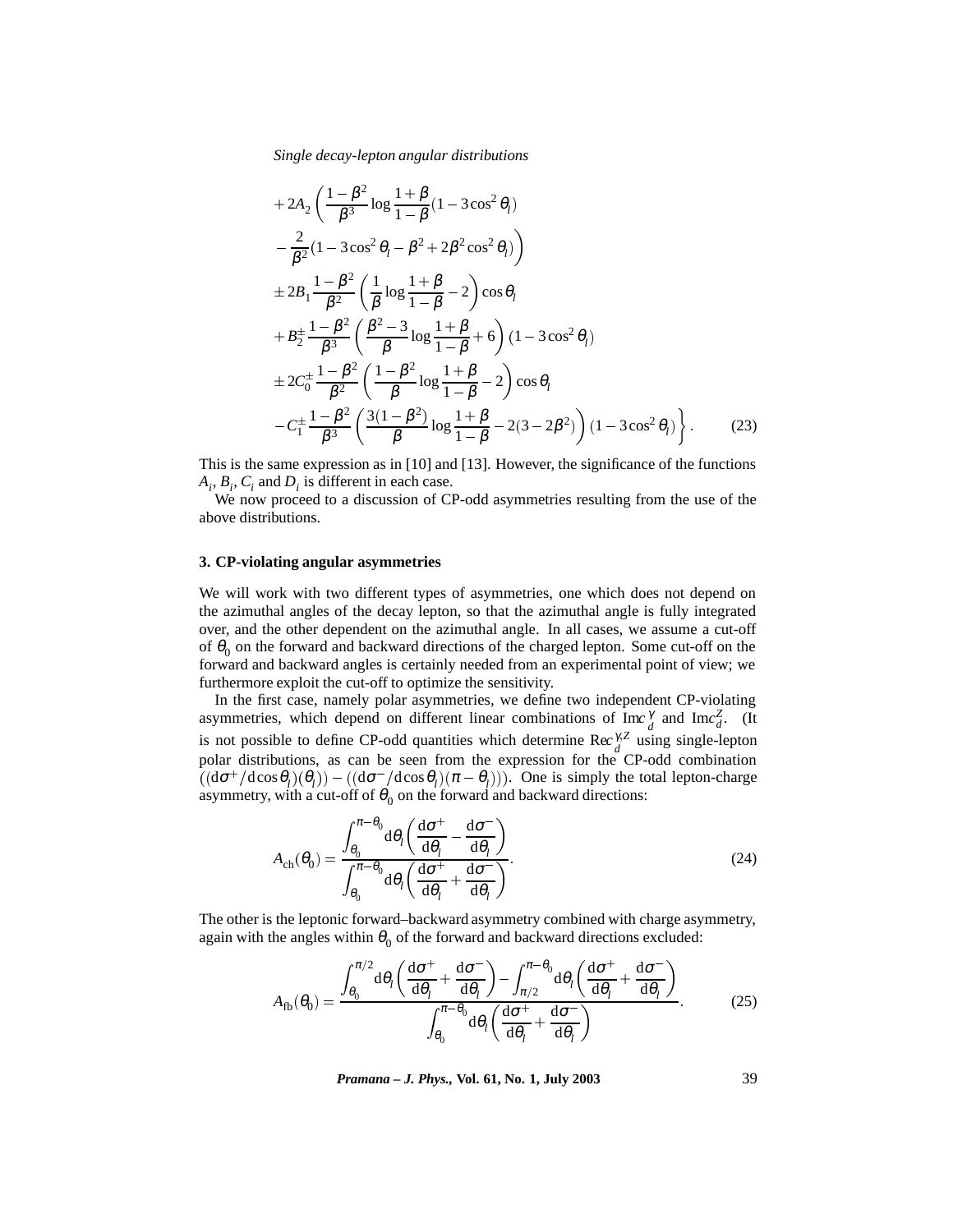$$
+2A_2 \left( \frac{1-\beta^2}{\beta^3} \log \frac{1+\beta}{1-\beta} (1-3\cos^2 \theta_l) -\frac{2}{\beta^2} (1-3\cos^2 \theta_l - \beta^2 + 2\beta^2 \cos^2 \theta_l) \right) +2B_1 \frac{1-\beta^2}{\beta^2} \left( \frac{1}{\beta} \log \frac{1+\beta}{1-\beta} - 2 \right) \cos \theta_l +B_2^{\pm} \frac{1-\beta^2}{\beta^3} \left( \frac{\beta^2-3}{\beta} \log \frac{1+\beta}{1-\beta} + 6 \right) (1-3\cos^2 \theta_l) +2C_0^{\pm} \frac{1-\beta^2}{\beta^2} \left( \frac{1-\beta^2}{\beta} \log \frac{1+\beta}{1-\beta} - 2 \right) \cos \theta_l -C_1^{\pm} \frac{1-\beta^2}{\beta^3} \left( \frac{3(1-\beta^2)}{\beta} \log \frac{1+\beta}{1-\beta} - 2(3-2\beta^2) \right) (1-3\cos^2 \theta_l) \right\}.
$$
 (23)

This is the same expression as in [10] and [13]. However, the significance of the functions  $A_i$ ,  $B_i$ ,  $C_i$  and  $D_i$  is different in each case.

We now proceed to a discussion of CP-odd asymmetries resulting from the use of the above distributions.

# **3. CP-violating angular asymmetries**

We will work with two different types of asymmetries, one which does not depend on the azimuthal angles of the decay lepton, so that the azimuthal angle is fully integrated over, and the other dependent on the azimuthal angle. In all cases, we assume a cut-off of  $\theta_0$  on the forward and backward directions of the charged lepton. Some cut-off on the forward and backward angles is certainly needed from an experimental point of view; we furthermore exploit the cut-off to optimize the sensitivity.

In the first case, namely polar asymmetries, we define two independent CP-violating asymmetries, which depend on different linear combinations of  $\text{Im} \epsilon_d^{\gamma}$  and  $\text{Im} \epsilon_d^{\gamma}$ . (It is not possible to define CP-odd quantities which determine Rec<sup>γ</sup>,<sup>*Z*</sup> using single-lepton polar distributions, as can be seen from the expression for the CP-odd combination  $((d\sigma^+/d\cos\theta_l)(\theta_l)) - ((d\sigma^-/d\cos\theta_l)(\pi - \theta_l)))$ . One is simply the total lepton-charge asymmetry, with a cut-off of  $\theta_0$  on the forward and backward directions:

$$
A_{\rm ch}(\theta_0) = \frac{\int_{\theta_0}^{\pi-\theta_0} d\theta_l \left(\frac{d\sigma^+}{d\theta_l} - \frac{d\sigma^-}{d\theta_l}\right)}{\int_{\theta_0}^{\pi-\theta_0} d\theta_l \left(\frac{d\sigma^+}{d\theta_l} + \frac{d\sigma^-}{d\theta_l}\right)}.
$$
(24)

The other is the leptonic forward–backward asymmetry combined with charge asymmetry, again with the angles within  $\theta_0$  of the forward and backward directions excluded:

$$
A_{\text{fb}}(\theta_0) = \frac{\int_{\theta_0}^{\pi/2} d\theta_l \left(\frac{d\sigma^+}{d\theta_l} + \frac{d\sigma^-}{d\theta_l}\right) - \int_{\pi/2}^{\pi-\theta_0} d\theta_l \left(\frac{d\sigma^+}{d\theta_l} + \frac{d\sigma^-}{d\theta_l}\right)}{\int_{\theta_0}^{\pi-\theta_0} d\theta_l \left(\frac{d\sigma^+}{d\theta_l} + \frac{d\sigma^-}{d\theta_l}\right)}.
$$
(25)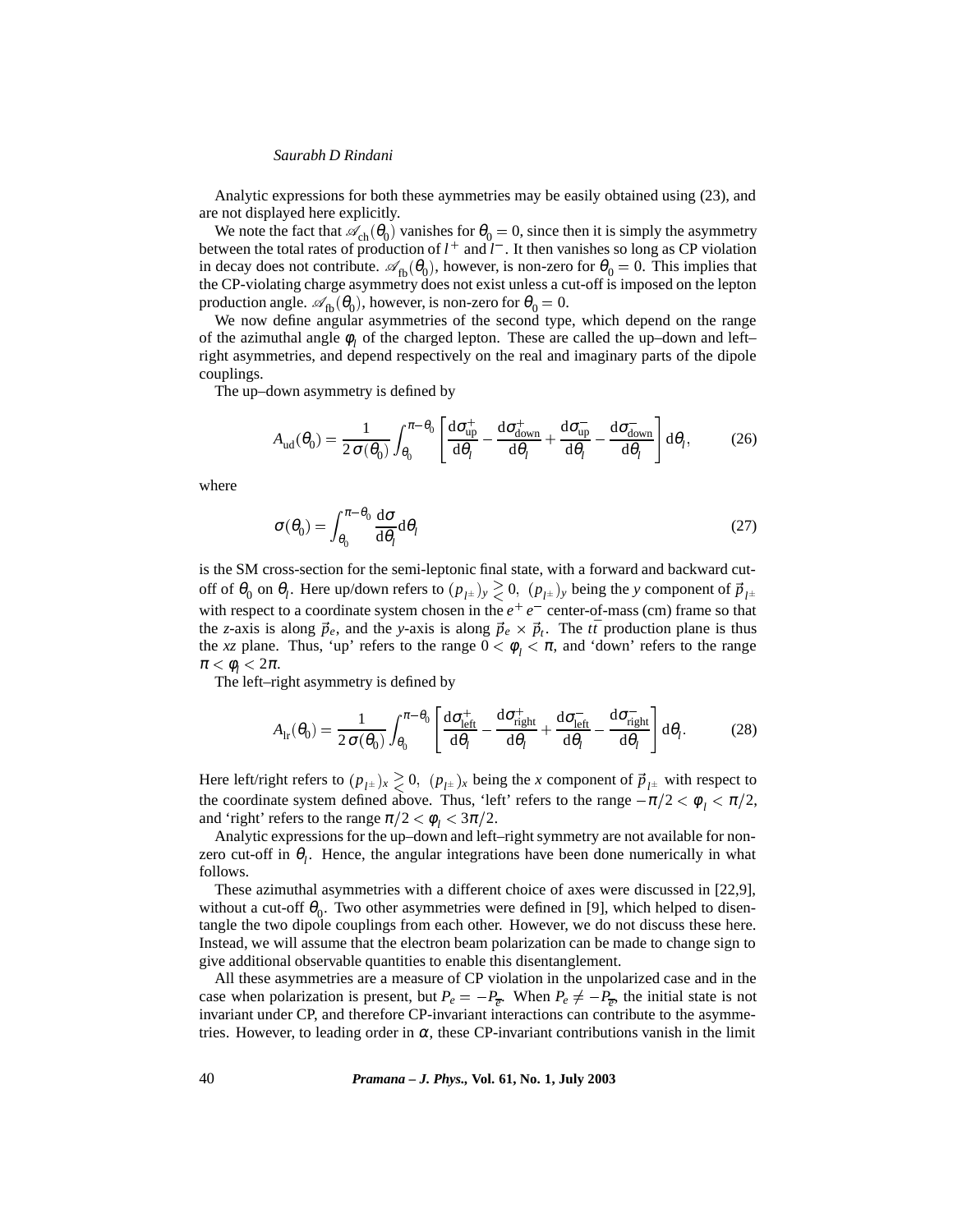Analytic expressions for both these aymmetries may be easily obtained using (23), and are not displayed here explicitly.

We note the fact that  $\mathcal{A}_{ch}(\theta_0)$  vanishes for  $\theta_0 = 0$ , since then it is simply the asymmetry between the total rates of production of  $l^+$  and  $l^-$ . It then vanishes so long as CP violation in decay does not contribute.  $\mathscr{A}_{fb}(\theta_0)$ , however, is non-zero for  $\theta_0 = 0$ . This implies that the CP-violating charge asymmetry does not exist unless a cut-off is imposed on the lepton production angle.  $\mathscr{A}_{fb}(\theta_0)$ , however, is non-zero for  $\theta_0 = 0$ .

We now define angular asymmetries of the second type, which depend on the range of the azimuthal angle  $\phi$ , of the charged lepton. These are called the up–down and left– right asymmetries, and depend respectively on the real and imaginary parts of the dipole couplings.

The up–down asymmetry is defined by

$$
A_{\rm ud}(\theta_0) = \frac{1}{2\,\sigma(\theta_0)} \int_{\theta_0}^{\pi-\theta_0} \left[ \frac{\mathrm{d}\sigma_{\rm up}^+}{\mathrm{d}\theta_l} - \frac{\mathrm{d}\sigma_{\rm down}^+}{\mathrm{d}\theta_l} + \frac{\mathrm{d}\sigma_{\rm up}^-}{\mathrm{d}\theta_l} - \frac{\mathrm{d}\sigma_{\rm down}^-}{\mathrm{d}\theta_l} \right] \mathrm{d}\theta_l, \tag{26}
$$

where

$$
\sigma(\theta_0) = \int_{\theta_0}^{\pi - \theta_0} \frac{d\sigma}{d\theta_l} d\theta_l
$$
 (27)

is the SM cross-section for the semi-leptonic final state, with a forward and backward cutoff of  $\theta_0$  on  $\theta_l$ . Here up/down refers to  $(p_{l^{\pm}})_y \gtrsim 0$ ,  $(p_{l^{\pm}})_y$  being the *y* component of  $\vec{p}_{l^{\pm}}$ with respect to a coordinate system chosen in the  $e^+e^-$  center-of-mass (cm) frame so that the *z*-axis is along  $\vec{p}_e$ , and the *y*-axis is along  $\vec{p}_e \times \vec{p}_t$ . The  $t\bar{t}$  production plane is thus the *xz* plane. Thus, 'up' refers to the range  $0 < \phi_l < \pi$ , and 'down' refers to the range  $\pi < \phi_i < 2\pi$ .

The left–right asymmetry is defined by

$$
A_{\rm lr}(\theta_0) = \frac{1}{2\,\sigma(\theta_0)} \int_{\theta_0}^{\pi-\theta_0} \left[ \frac{\mathrm{d}\sigma_{\rm left}^+}{\mathrm{d}\theta_l} - \frac{\mathrm{d}\sigma_{\rm right}^+}{\mathrm{d}\theta_l} + \frac{\mathrm{d}\sigma_{\rm left}^-}{\mathrm{d}\theta_l} - \frac{\mathrm{d}\sigma_{\rm right}^-}{\mathrm{d}\theta_l} \right] \mathrm{d}\theta_l. \tag{28}
$$

Here left/right refers to  $(p_{l^{\pm}})_x \geq 0$ ,  $(p_{l^{\pm}})_x$  being the *x* component of  $\vec{p}_{l^{\pm}}$  with respect to the coordinate system defined above. Thus, 'left' refers to the range  $-\pi/2 < \phi_1 < \pi/2$ , and 'right' refers to the range  $\pi/2 < \phi_i < 3\pi/2$ .

Analytic expressions for the up–down and left–right symmetry are not available for nonzero cut-off in  $\theta_l$ . Hence, the angular integrations have been done numerically in what follows.

These azimuthal asymmetries with a different choice of axes were discussed in [22,9], without a cut-off  $\theta_0$ . Two other asymmetries were defined in [9], which helped to disentangle the two dipole couplings from each other. However, we do not discuss these here. Instead, we will assume that the electron beam polarization can be made to change sign to give additional observable quantities to enable this disentanglement.

All these asymmetries are a measure of CP violation in the unpolarized case and in the case when polarization is present, but  $P_e = -P_{\overline{e}}$ . When  $P_e \neq -P_{\overline{e}}$ , the initial state is not invariant under CP, and therefore CP-invariant interactions can contribute to the asymmetries. However, to leading order in  $\alpha$ , these CP-invariant contributions vanish in the limit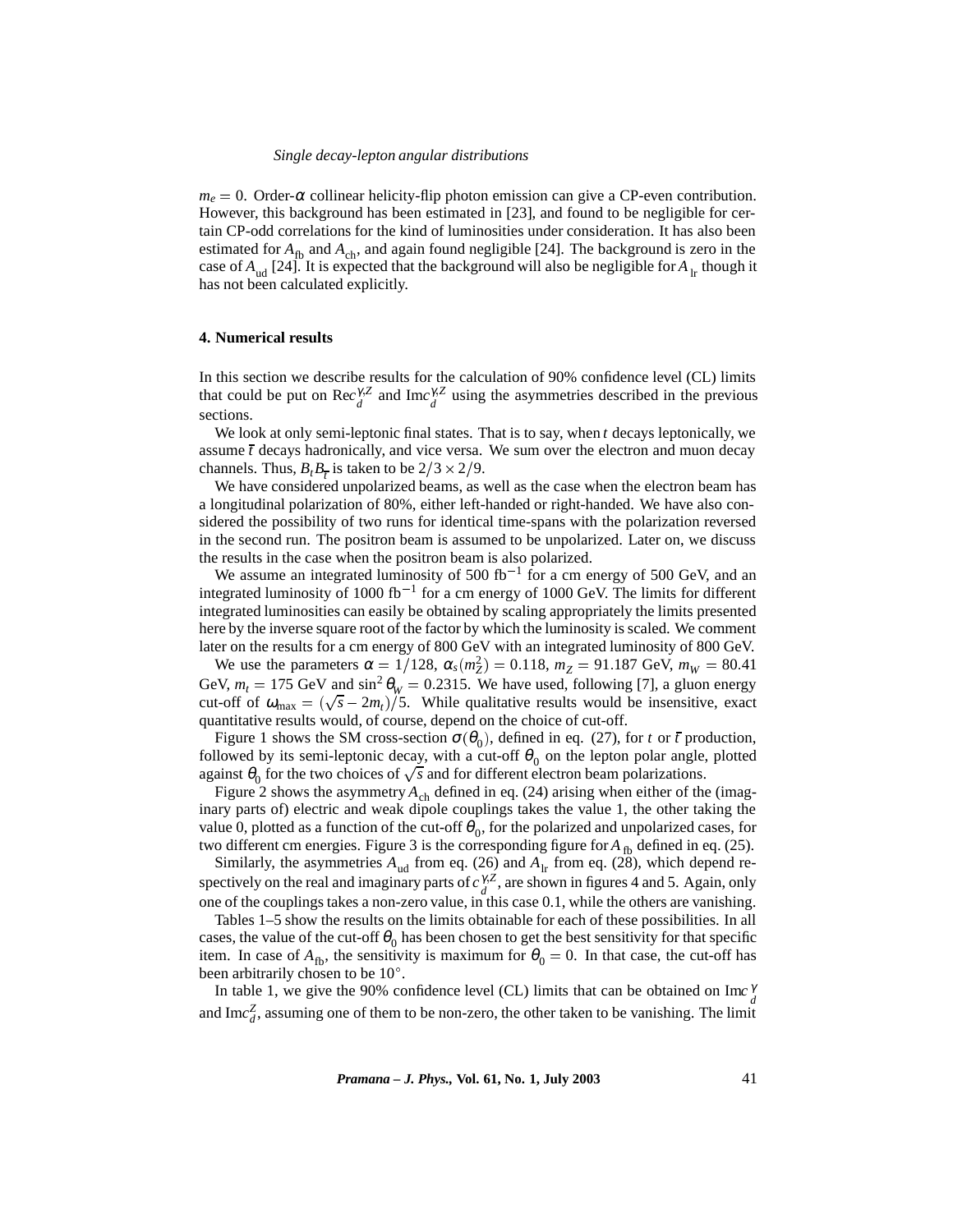$m_e = 0$ . Order- $\alpha$  collinear helicity-flip photon emission can give a CP-even contribution. However, this background has been estimated in [23], and found to be negligible for certain CP-odd correlations for the kind of luminosities under consideration. It has also been estimated for  $A_{\text{fb}}$  and  $A_{\text{ch}}$ , and again found negligible [24]. The background is zero in the case of  $A_{ud}$  [24]. It is expected that the background will also be negligible for  $A_{1r}$  though it has not been calculated explicitly.

# **4. Numerical results**

In this section we describe results for the calculation of 90% confidence level (CL) limits that could be put on  $\text{Rec}_{d}^{\gamma, Z}$  and  $\text{Im}c_{d}^{\gamma, Z}$  using the asymmetries described in the previous sections.

We look at only semi-leptonic final states. That is to say, when *t* decays leptonically, we assume  $\bar{t}$  decays hadronically, and vice versa. We sum over the electron and muon decay channels. Thus,  $B_t B_{\overline{t}}$  is taken to be  $2/3 \times 2/9$ .

We have considered unpolarized beams, as well as the case when the electron beam has a longitudinal polarization of 80%, either left-handed or right-handed. We have also considered the possibility of two runs for identical time-spans with the polarization reversed in the second run. The positron beam is assumed to be unpolarized. Later on, we discuss the results in the case when the positron beam is also polarized.

We assume an integrated luminosity of 500 fb<sup>-1</sup> for a cm energy of 500 GeV, and an integrated luminosity of 1000 fb<sup>-1</sup> for a cm energy of 1000 GeV. The limits for different integrated luminosities can easily be obtained by scaling appropriately the limits presented here by the inverse square root of the factor by which the luminosity is scaled. We comment later on the results for a cm energy of 800 GeV with an integrated luminosity of 800 GeV.

We use the parameters  $\alpha = 1/128$ ,  $\alpha_s(m_Z^2) = 0.118$ ,  $m_Z^2 = 91.187$  GeV,  $m_W^2 = 80.41$ GeV,  $m_t = 175$  GeV and  $\sin^2 \theta_W = 0.2315$ . We have used, following [7], a gluon energy cut-off of  $\omega_{\text{max}} = (\sqrt{s} - 2m_t)/5$ . While qualitative results would be insensitive, exact quantitative results would, of course, depend on the choice of cut-off.

Figure 1 shows the SM cross-section  $\sigma(\theta_0)$ , defined in eq. (27), for *t* or  $\bar{t}$  production, followed by its semi-leptonic decay, with a cut-off  $\theta_0$  on the lepton polar angle, plotted against  $\theta_0$  for the two choices of  $\sqrt{s}$  and for different electron beam polarizations.

Figure 2 shows the asymmetry  $A_{ch}$  defined in eq. (24) arising when either of the (imaginary parts of) electric and weak dipole couplings takes the value 1, the other taking the value 0, plotted as a function of the cut-off  $\theta_0$ , for the polarized and unpolarized cases, for two different cm energies. Figure 3 is the corresponding figure for  $A_{\text{fb}}$  defined in eq. (25).

Similarly, the asymmetries  $A_{ud}$  from eq. (26) and  $A_{lr}$  from eq. (28), which depend respectively on the real and imaginary parts of  $c_d^{\gamma, Z}$ , are shown in figures 4 and 5. Again, only one of the couplings takes a non-zero value, in this case 0.1, while the others are vanishing.

Tables 1–5 show the results on the limits obtainable for each of these possibilities. In all cases, the value of the cut-off  $\theta_0$  has been chosen to get the best sensitivity for that specific item. In case of  $A_{\text{fb}}$ , the sensitivity is maximum for  $\theta_0 = 0$ . In that case, the cut-off has been arbitrarily chosen to be 10 .

In table 1, we give the 90% confidence level (CL) limits that can be obtained on  $\text{Im} \mathcal{C}_d^{\gamma}$ and Im $c_d^Z$ , assuming one of them to be non-zero, the other taken to be vanishing. The limit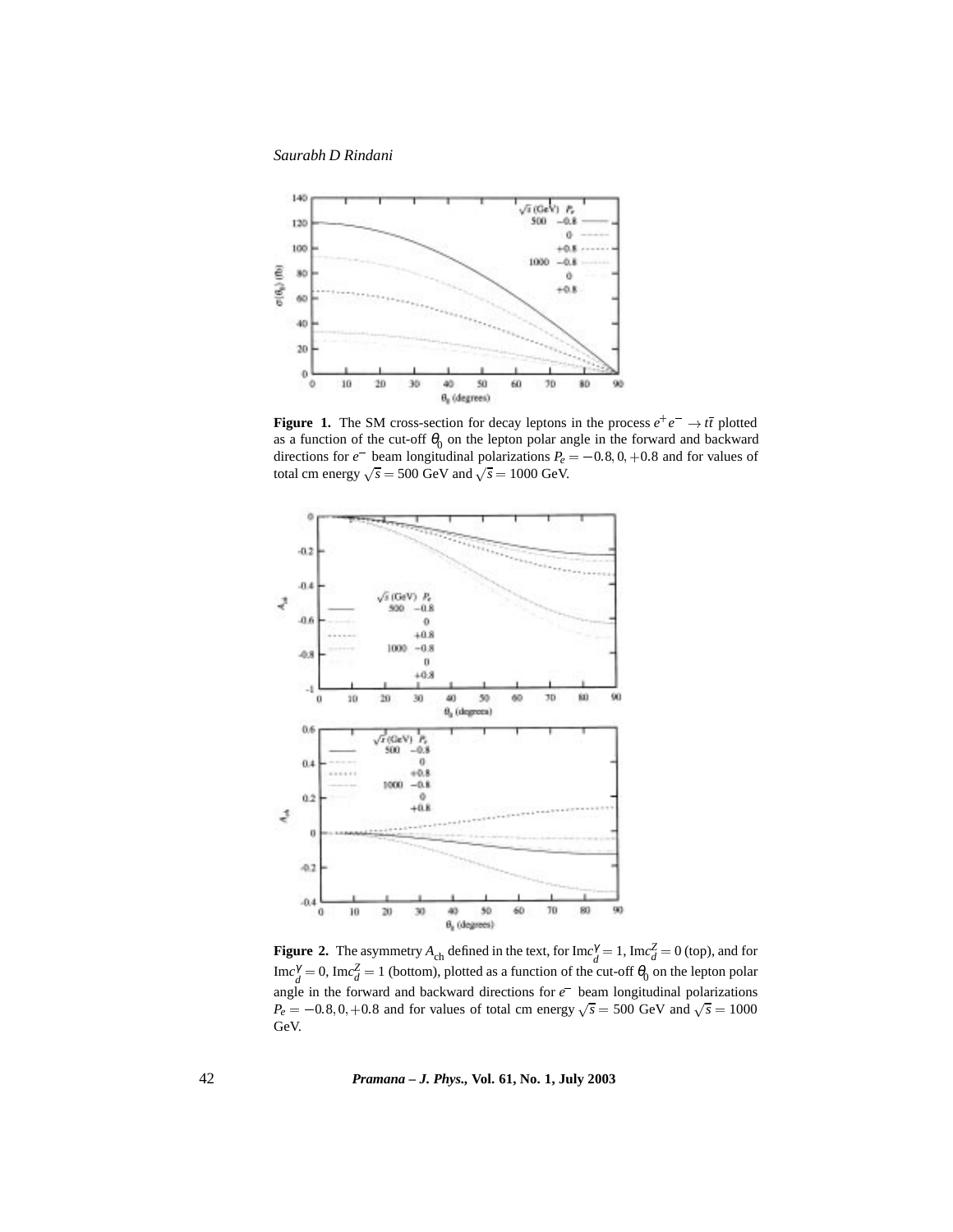*Saurabh D Rindani*



**Figure 1.** The SM cross-section for decay leptons in the process  $e^+e^- \rightarrow t\bar{t}$  plotted as a function of the cut-off  $\theta_0$  on the lepton polar angle in the forward and backward directions for  $e^-$  beam longitudinal polarizations  $P_e = -0.8, 0, +0.8$  and for values of total cm energy  $\sqrt{s}$  = 500 GeV and  $\sqrt{s}$  = 1000 GeV.



**Figure 2.** The asymmetry  $A_{ch}$  defined in the text, for  $\text{Im}c_d^{\gamma} = 1$ ,  $\text{Im}c_d^{\gamma} = 0$  (top), and for  $\text{Im}c_d^{\gamma} = 0$ ,  $\text{Im}c_d^{\gamma} = 1$  (bottom), plotted as a function of the cut-off  $\theta_0$  on the lepton polar angle in the forward and backward directions for *e* beam longitudinal polarizations  $P_e = -0.8, 0, +0.8$  and for values of total cm energy  $\sqrt{s} = 500$  GeV and  $\sqrt{s} = 1000$ GeV.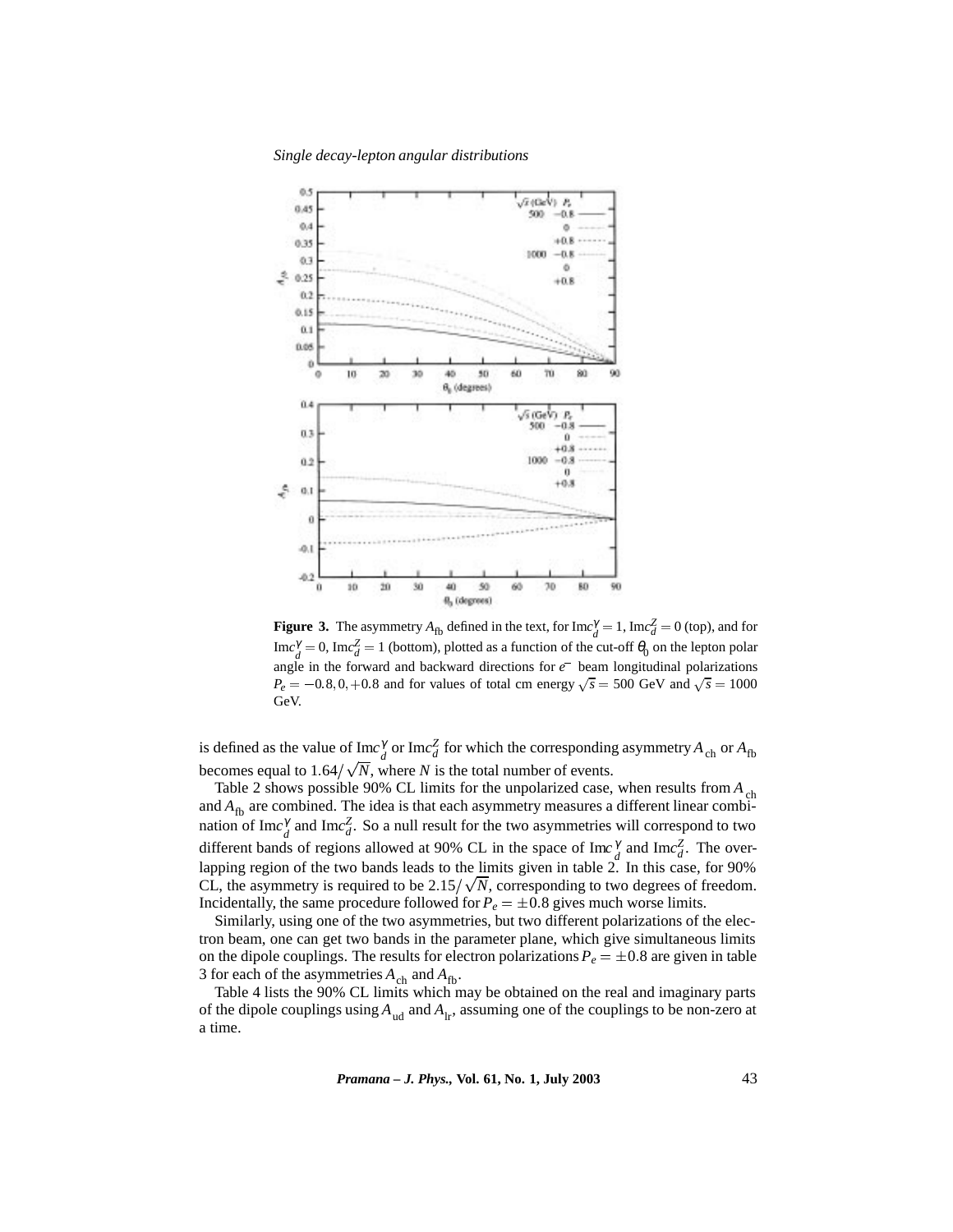*Single decay-lepton angular distributions*



**Figure 3.** The asymmetry  $A_{fb}$  defined in the text, for  $\text{Im}c_d^{\gamma} = 1$ ,  $\text{Im}c_d^{\gamma} = 0$  (top), and for  $\text{Im}c_d^{\gamma} = 0$ ,  $\text{Im}c_d^{\gamma} = 1$  (bottom), plotted as a function of the cut-off  $\theta_0$  on the lepton polar angle in the forward and backward directions for *e* beam longitudinal polarizations  $P_e = -0.8, 0, +0.8$  and for values of total cm energy  $\sqrt{s} = 500$  GeV and  $\sqrt{s} = 1000$ GeV.

is defined as the value of  $\text{Im}c_d^{\gamma}$  or  $\text{Im}c_d^{\gamma}$  for which the corresponding asymmetry  $A_{ch}$  or  $A_{fb}$ becomes equal to  $1.64/\sqrt{N}$ , where *N* is the total number of events.

Table 2 shows possible 90% CL limits for the unpolarized case, when results from *A*<sub>ch</sub> and  $A_{\text{fb}}$  are combined. The idea is that each asymmetry measures a different linear combination of Im $c_d^{\gamma}$  and Im $c_d^{\gamma}$ . So a null result for the two asymmetries will correspond to two different bands of regions allowed at 90% CL in the space of  $\text{Im}c_d^{\gamma}$  and  $\text{Im}c_d^{\gamma}$ . The overlapping region of the two bands leads to the limits given in table 2. In this case, for 90% CL, the asymmetry is required to be  $2.15/\sqrt{N}$ , corresponding to two degrees of freedom. Incidentally, the same procedure followed for  $P_e = \pm 0.8$  gives much worse limits.

Similarly, using one of the two asymmetries, but two different polarizations of the electron beam, one can get two bands in the parameter plane, which give simultaneous limits on the dipole couplings. The results for electron polarizations  $P_e = \pm 0.8$  are given in table 3 for each of the asymmetries  $A_{ch}$  and  $A_{fb}$ .

Table 4 lists the 90% CL limits which may be obtained on the real and imaginary parts of the dipole couplings using *A*ud and *A*lr, assuming one of the couplings to be non-zero at a time.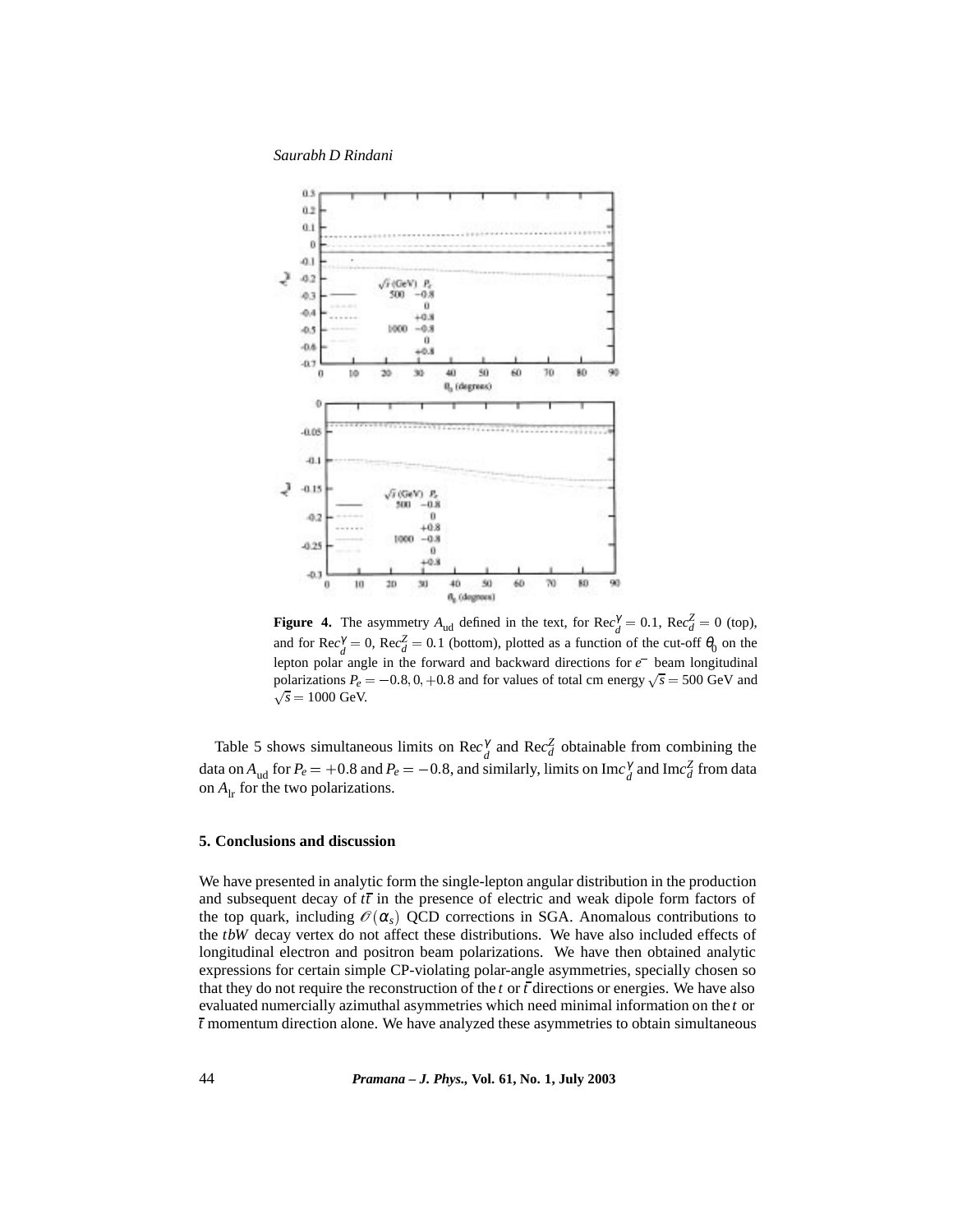*Saurabh D Rindani*



**Figure 4.** The asymmetry  $A_{ud}$  defined in the text, for  $\text{Rec}_{d}^{\gamma} = 0.1$ ,  $\text{Rec}_{d}^{\gamma} = 0$  (top), and for  $\text{Rec}_{d}^{\gamma} = 0$ ,  $\text{Rec}_{d}^{\gamma} = 0.1$  (bottom), plotted as a function of the cut-off  $\theta_0$  on the lepton polar angle in the forward and backward directions for *e* beam longitudinal polarizations  $P_e = -0.8, 0, +0.8$  and for values of total cm energy  $\sqrt{s} = 500 \text{ GeV}$  and  $\sqrt{s} = 1000 \text{ GeV}.$ 

Table 5 shows simultaneous limits on  $\text{Rec}_{d}^{\gamma}$  and  $\text{Rec}_{d}^{\mathbb{Z}}$  obtainable from combining the data on  $A_{ud}$  for  $P_e = +0.8$  and  $P_e = -0.8$ , and similarly, limits on Im $c_d^{\gamma}$  and Im $c_d^{\gamma}$  from data on  $A_{1r}$  for the two polarizations.

# **5. Conclusions and discussion**

We have presented in analytic form the single-lepton angular distribution in the production and subsequent decay of  $t\bar{t}$  in the presence of electric and weak dipole form factors of the top quark, including  $\mathcal{O}(\alpha_s)$  QCD corrections in SGA. Anomalous contributions to the *tbW* decay vertex do not affect these distributions. We have also included effects of longitudinal electron and positron beam polarizations. We have then obtained analytic expressions for certain simple CP-violating polar-angle asymmetries, specially chosen so that they do not require the reconstruction of the *t* or *t* directions or energies. We have also evaluated numercially azimuthal asymmetries which need minimal information on the *t* or *t* momentum direction alone. We have analyzed these asymmetries to obtain simultaneous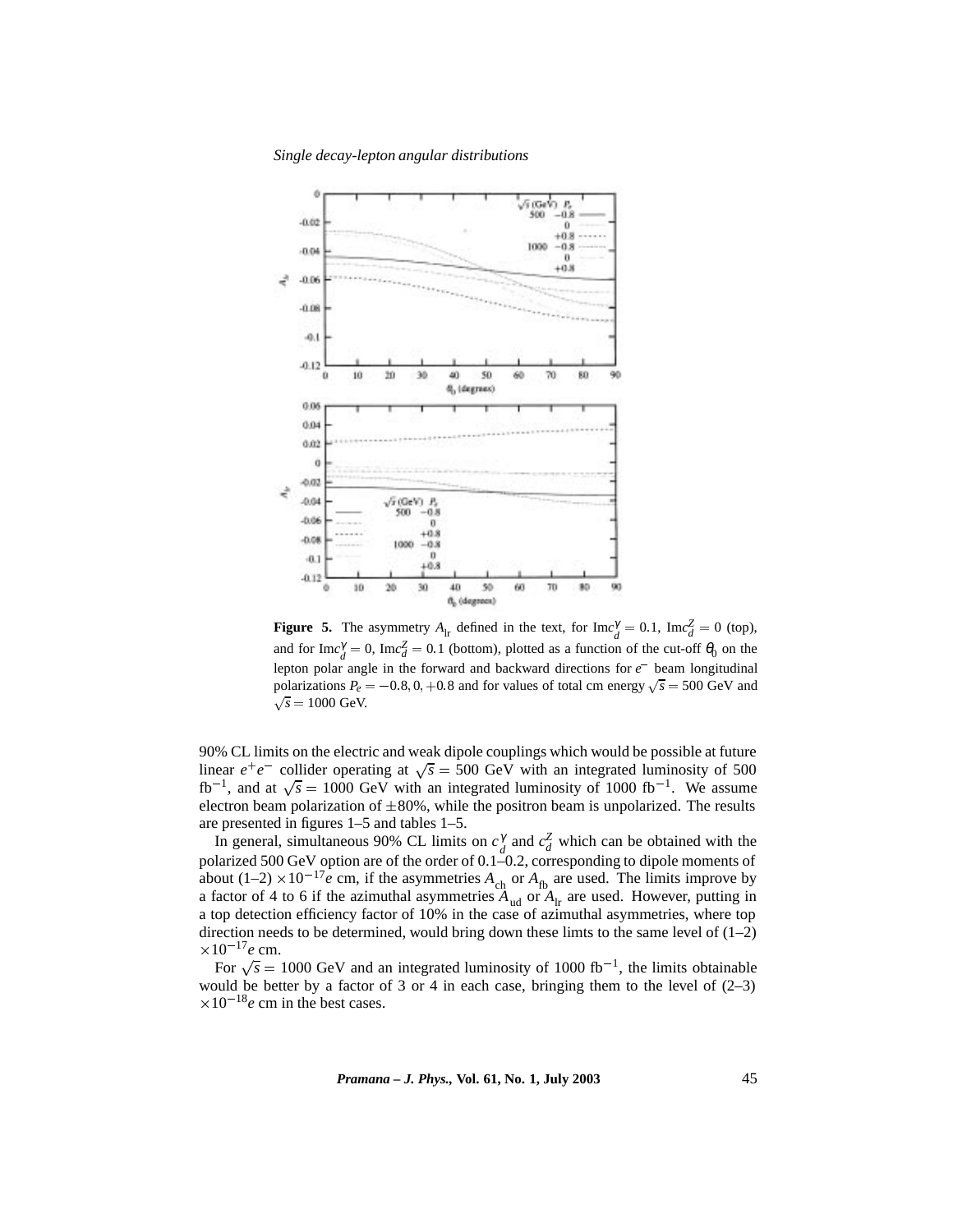*Single decay-lepton angular distributions*



**Figure 5.** The asymmetry  $A_{\text{lr}}$  defined in the text, for  $\text{Im}c_d^{\gamma} = 0.1$ ,  $\text{Im}c_d^{\gamma} = 0$  (top), and for  $\text{Im}c_d^{\gamma} = 0$ ,  $\text{Im}c_d^{\gamma} = 0.1$  (bottom), plotted as a function of the cut-off  $\theta_0$  on the lepton polar angle in the forward and backward directions for *e* beam longitudinal polarizations  $P_e = -0.8, 0, +0.8$  and for values of total cm energy  $\sqrt{s} = 500 \text{ GeV}$  and  $\sqrt{s} = 1000 \text{ GeV}.$ 

90% CL limits on the electric and weak dipole couplings which would be possible at future linear  $e^+e^-$  collider operating at  $\sqrt{s} = 500$  GeV with an integrated luminosity of 500 fb<sup>-1</sup>, and at  $\sqrt{s}$  = 1000 GeV with an integrated luminosity of 1000 fb<sup>-1</sup>. We assume electron beam polarization of  $\pm 80\%$ , while the positron beam is unpolarized. The results are presented in figures 1–5 and tables 1–5.

In general, simultaneous 90% CL limits on  $c_d^{\gamma}$  and  $c_d^{\gamma}$  which can be obtained with the polarized 500 GeV option are of the order of 0.1–0.2, corresponding to dipole moments of about (1–2)  $\times 10^{-17}e$  cm, if the asymmetries  $A_{ch}$  or  $A_{fb}$  are used. The limits improve by a factor of 4 to 6 if the azimuthal asymmetries  $A_{ud}$  or  $A_{lr}$  are used. However, putting in a top detection efficiency factor of 10% in the case of azimuthal asymmetries, where top direction needs to be determined, would bring down these limts to the same level of  $(1-2)$  $\times 10^{-17}e \text{ cm}.$ 

For  $\sqrt{s}$  = 1000 GeV and an integrated luminosity of 1000 fb<sup>-1</sup>, the limits obtainable would be better by a factor of 3 or 4 in each case, bringing them to the level of  $(2-3)$  $\times 10^{-18}$ e cm in the best cases.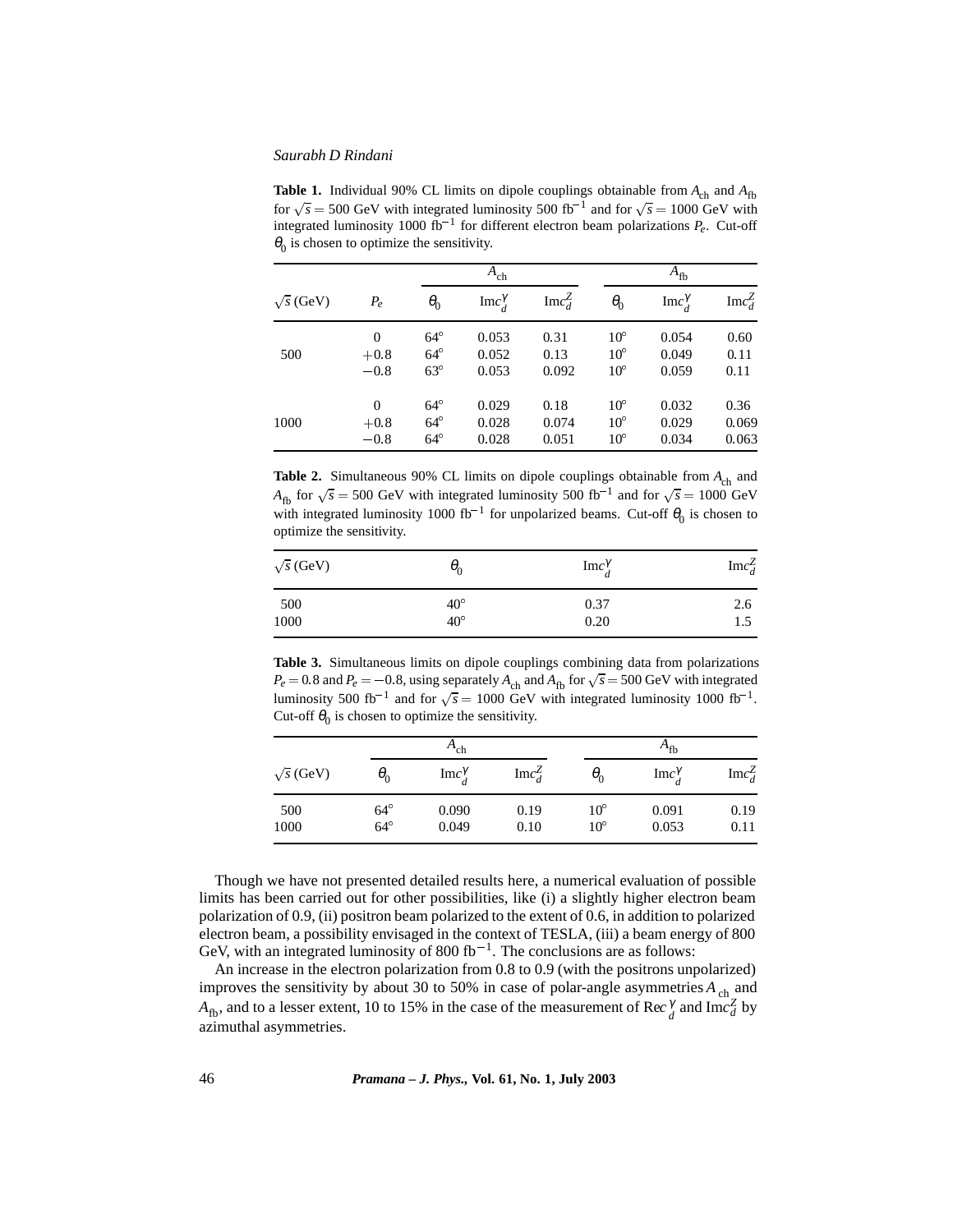**Table 1.** Individual 90% CL limits on dipole couplings obtainable from  $A_{ch}$  and  $A_{fb}$ for  $\sqrt{s}$  = 500 GeV with integrated luminosity 500 fb<sup>-1</sup> and for  $\sqrt{s}$  = 1000 GeV with integrated luminosity 1000 fb<sup>-1</sup> for different electron beam polarizations  $P_e$ . Cut-off  $\theta_0$  is chosen to optimize the sensitivity.

|                  |                |              | $A_{ch}$                |                  |              | $A_{\text{fb}}$         |                  |  |
|------------------|----------------|--------------|-------------------------|------------------|--------------|-------------------------|------------------|--|
| $\sqrt{s}$ (GeV) | $P_e$          | $\theta_0$   | $\text{Im}c_d^{\gamma}$ | $\text{Im}c_d^Z$ | $\theta_0$   | $\text{Im}c_d^{\gamma}$ | $\text{Im}c_d^Z$ |  |
|                  | $\overline{0}$ | $64^\circ$   | 0.053                   | 0.31             | $10^{\circ}$ | 0.054                   | 0.60             |  |
| 500              | $+0.8$         | $64^\circ$   | 0.052                   | 0.13             | $10^{\circ}$ | 0.049                   | 0.11             |  |
|                  | $-0.8$         | $63^\circ$   | 0.053                   | 0.092            | $10^{\circ}$ | 0.059                   | 0.11             |  |
|                  | $\Omega$       | $64^\circ$   | 0.029                   | 0.18             | $10^{\circ}$ | 0.032                   | 0.36             |  |
| 1000             | $+0.8$         | $64^\circ$   | 0.028                   | 0.074            | $10^{\circ}$ | 0.029                   | 0.069            |  |
|                  | $-0.8$         | $64^{\circ}$ | 0.028                   | 0.051            | $10^{\circ}$ | 0.034                   | 0.063            |  |

**Table 2.** Simultaneous 90% CL limits on dipole couplings obtainable from  $A_{ch}$  and  $A_{\text{fb}}$  for  $\sqrt{s}$  = 500 GeV with integrated luminosity 500 fb<sup>-1</sup> and for  $\sqrt{s}$  = 1000 GeV with integrated luminosity 1000 fb<sup>-1</sup> for unpolarized beams. Cut-off  $\theta_0$  is chosen to optimize the sensitivity.

| $\sqrt{s}$ (GeV) | $\theta_0$               | $\text{Im}c_{a}^{\gamma}$ | ${\rm Im}c_d^Z$ |  |
|------------------|--------------------------|---------------------------|-----------------|--|
| 500<br>1000      | $40^\circ$<br>$40^\circ$ | 0.37<br>0.20              | 2.6<br>1.5      |  |
|                  |                          |                           |                 |  |

**Table 3.** Simultaneous limits on dipole couplings combining data from polarizations  $P_e = 0.8$  and  $P_e = -0.8$ , using separately  $A_{ch}$  and  $A_{fb}$  for  $\sqrt{s} = 500$  GeV with integrated luminosity 500 fb<sup>-1</sup> and for  $\sqrt{s}$  = 1000 GeV with integrated luminosity 1000 fb<sup>-1</sup>. Cut-off  $\theta_0$  is chosen to optimize the sensitivity.

|                  |            | $A_{ch}$                |                  |              | $A_{\text{fb}}$           |                  |
|------------------|------------|-------------------------|------------------|--------------|---------------------------|------------------|
| $\sqrt{s}$ (GeV) | $\theta_0$ | $\text{Im}c_J^{\gamma}$ | $\text{Im}c_d^Z$ | $\theta_{0}$ | $\text{Im}c_{J}^{\gamma}$ | $\text{Im}c_d^Z$ |
| 500              | $64^\circ$ | 0.090                   | 0.19             | $10^{\circ}$ | 0.091                     | 0.19             |
| 1000             | $64^\circ$ | 0.049                   | 0.10             | $10^{\circ}$ | 0.053                     | 0.11             |

Though we have not presented detailed results here, a numerical evaluation of possible limits has been carried out for other possibilities, like (i) a slightly higher electron beam polarization of 0.9, (ii) positron beam polarized to the extent of 0.6, in addition to polarized electron beam, a possibility envisaged in the context of TESLA, (iii) a beam energy of 800 GeV, with an integrated luminosity of 800 fb<sup>-1</sup>. The conclusions are as follows:

An increase in the electron polarization from 0.8 to 0.9 (with the positrons unpolarized) improves the sensitivity by about 30 to 50% in case of polar-angle asymmetries  $A_{ch}$  and *A*<sub>fb</sub>, and to a lesser extent, 10 to 15% in the case of the measurement of Rec<sup> $\gamma$ </sup> and Im $c_d^Z$  by azimuthal asymmetries.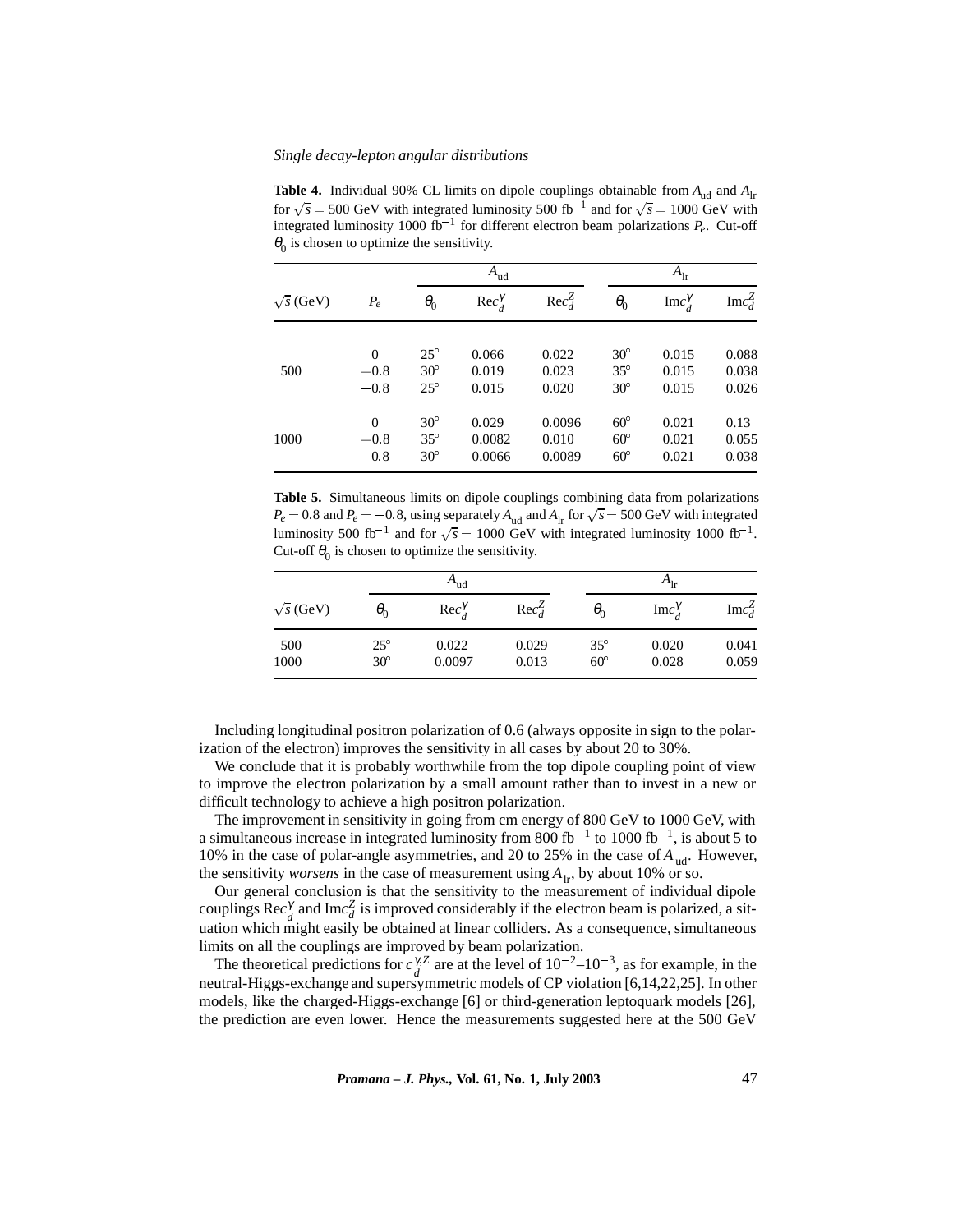**Table 4.** Individual 90% CL limits on dipole couplings obtainable from  $A_{ud}$  and  $A_{lr}$ for  $\sqrt{s}$  = 500 GeV with integrated luminosity 500 fb<sup>-1</sup> and for  $\sqrt{s}$  = 1000 GeV with integrated luminosity 1000 fb<sup>-1</sup> for different electron beam polarizations  $P_e$ . Cut-off  $\theta_0$  is chosen to optimize the sensitivity.

| $\sqrt{s}$ (GeV) |          |              | $A_{ud}$       |               |            | $A_{\rm lr}$          |                  |  |
|------------------|----------|--------------|----------------|---------------|------------|-----------------------|------------------|--|
|                  | $P_e$    | $\theta_0$   | $Rec^{\gamma}$ | $Rec_{d}^{Z}$ | $\theta_0$ | $\text{Im}c^{\gamma}$ | $\text{Im}c_d^Z$ |  |
|                  | $\theta$ | $25^{\circ}$ | 0.066          | 0.022         | $30^\circ$ | 0.015                 | 0.088            |  |
| 500              | $+0.8$   | $30^\circ$   | 0.019          | 0.023         | $35^\circ$ | 0.015                 | 0.038            |  |
|                  | $-0.8$   | $25^\circ$   | 0.015          | 0.020         | $30^\circ$ | 0.015                 | 0.026            |  |
|                  | $\Omega$ | $30^\circ$   | 0.029          | 0.0096        | $60^\circ$ | 0.021                 | 0.13             |  |
| 1000             | $+0.8$   | $35^\circ$   | 0.0082         | 0.010         | $60^\circ$ | 0.021                 | 0.055            |  |
|                  | $-0.8$   | $30^\circ$   | 0.0066         | 0.0089        | $60^\circ$ | 0.021                 | 0.038            |  |

**Table 5.** Simultaneous limits on dipole couplings combining data from polarizations  $P_e = 0.8$  and  $P_e = -0.8$ , using separately  $A_{ud}$  and  $A_{lr}$  for  $\sqrt{s} = 500$  GeV with integrated luminosity 500 fb<sup>-1</sup> and for  $\sqrt{s}$  = 1000 GeV with integrated luminosity 1000 fb<sup>-1</sup>. Cut-off  $\theta_0$  is chosen to optimize the sensitivity.

|                  | $A_{ud}$     |                    |               | $A_{1r}$     |              |                  |
|------------------|--------------|--------------------|---------------|--------------|--------------|------------------|
| $\sqrt{s}$ (GeV) | $\theta_{0}$ | $Rec_{d}^{\gamma}$ | $Rec_{d}^{Z}$ | $\theta_{0}$ | Imc $\gamma$ | $\text{Im}c_d^Z$ |
| 500              | $25^{\circ}$ | 0.022              | 0.029         | $35^{\circ}$ | 0.020        | 0.041            |
| 1000             | $30^\circ$   | 0.0097             | 0.013         | $60^{\circ}$ | 0.028        | 0.059            |

Including longitudinal positron polarization of 0.6 (always opposite in sign to the polarization of the electron) improves the sensitivity in all cases by about 20 to 30%.

We conclude that it is probably worthwhile from the top dipole coupling point of view to improve the electron polarization by a small amount rather than to invest in a new or difficult technology to achieve a high positron polarization.

The improvement in sensitivity in going from cm energy of 800 GeV to 1000 GeV, with a simultaneous increase in integrated luminosity from 800 fb<sup>-1</sup> to 1000 fb<sup>-1</sup>, is about 5 to 10% in the case of polar-angle asymmetries, and 20 to 25% in the case of  $A_{ud}$ . However, the sensitivity *worsens* in the case of measurement using  $A_{\text{lr}}$ , by about 10% or so.

Our general conclusion is that the sensitivity to the measurement of individual dipole couplings Rec<sup> $\gamma$ </sup> and Imc<sup>*Z*</sup> is improved considerably if the electron beam is polarized, a situation which might easily be obtained at linear colliders. As a consequence, simultaneous limits on all the couplings are improved by beam polarization.

The theoretical predictions for  $c_f^{\gamma Z}$  are at the level of  $10^{-2}$ – $10^{-3}$ , as for example, in the neutral-Higgs-exchange and supersymmetric models of CP violation [6,14,22,25]. In other models, like the charged-Higgs-exchange [6] or third-generation leptoquark models [26], the prediction are even lower. Hence the measurements suggested here at the 500 GeV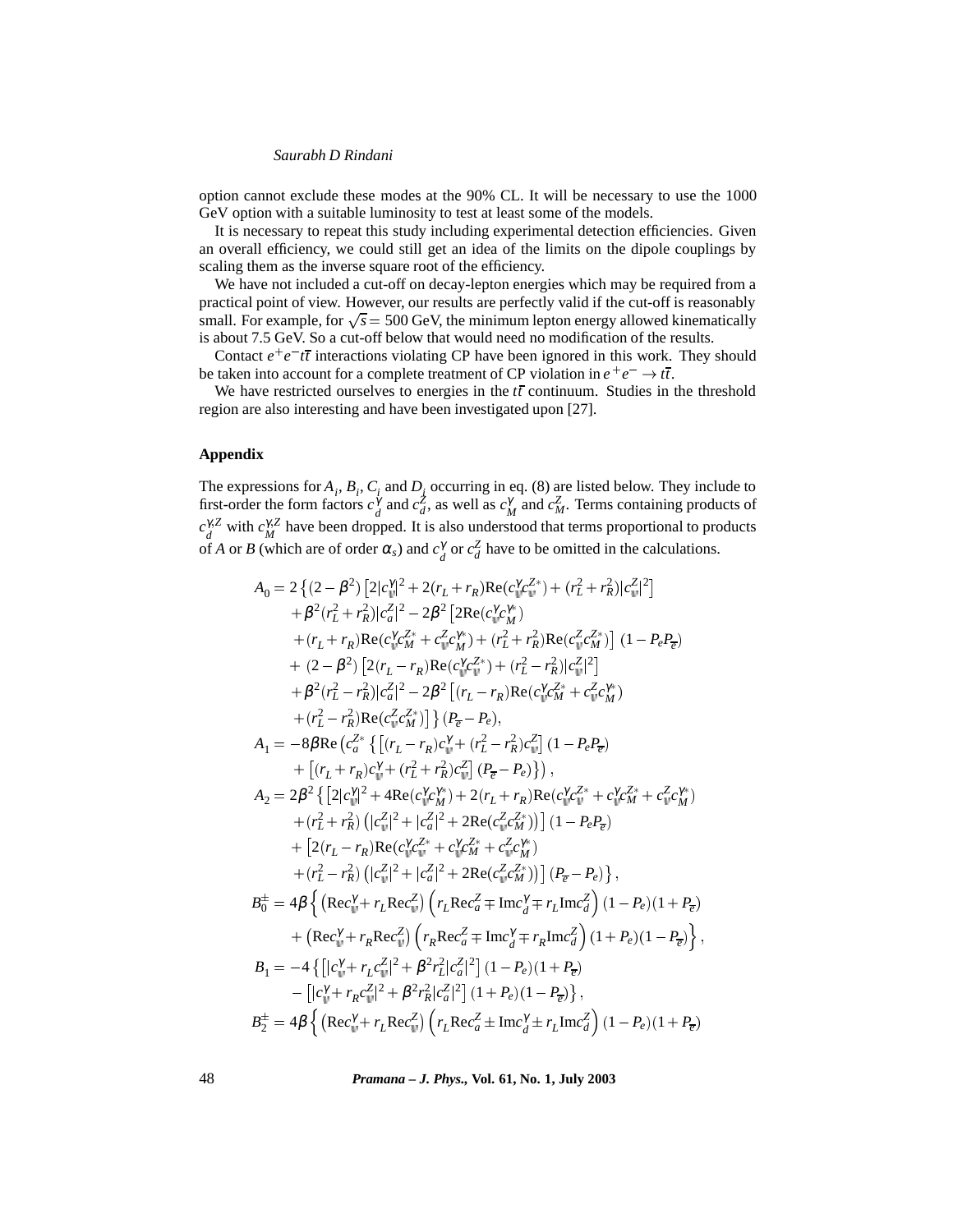option cannot exclude these modes at the 90% CL. It will be necessary to use the 1000 GeV option with a suitable luminosity to test at least some of the models.

It is necessary to repeat this study including experimental detection efficiencies. Given an overall efficiency, we could still get an idea of the limits on the dipole couplings by scaling them as the inverse square root of the efficiency.

We have not included a cut-off on decay-lepton energies which may be required from a practical point of view. However, our results are perfectly valid if the cut-off is reasonably small. For example, for  $\sqrt{s} = 500$  GeV, the minimum lepton energy allowed kinematically is about 7.5 GeV. So a cut-off below that would need no modification of the results.

Contact  $e^+e^-t\bar{t}$  interactions violating CP have been ignored in this work. They should be taken into account for a complete treatment of CP violation in  $e^+e^- \rightarrow t\bar{t}$ .

We have restricted ourselves to energies in the  $t\bar{t}$  continuum. Studies in the threshold region are also interesting and have been investigated upon [27].

# **Appendix**

The expressions for  $A_i$ ,  $B_i$ ,  $C_i$  and  $D_j$  occurring in eq. (8) are listed below. They include to first-order the form factors  $c_d^{\gamma}$  and  $c_d^{\gamma}$ , as well as  $c_M^{\gamma}$  and  $c_M^{\gamma}$ . Terms containing products of  $c_d^{\gamma Z}$  with  $c_M^{\gamma Z}$  have been dropped. It is also understood that terms proportional to products of *A* or *B* (which are of order  $\alpha_s$ ) and  $c_d^{\gamma}$  or  $c_d^{\gamma}$  have to be omitted in the calculations.

$$
A_{0} = 2\left\{ (2-\beta^{2}) \left[ 2|c_{\psi}^{\gamma/2} + 2(r_{L} + r_{R})\text{Re}(c_{\psi}^{\gamma}c_{\psi}^{Z*}) + (r_{L}^{2} + r_{R}^{2})|c_{\psi}^{Z}|^{2} \right] \right.+ \beta^{2}(r_{L}^{2} + r_{R}^{2})|c_{\alpha}^{Z}|^{2} - 2\beta^{2} \left[ 2\text{Re}(c_{\psi}^{\gamma}c_{\psi}^{*}) + (r_{L}^{2} + r_{R}^{2})\text{Re}(c_{\psi}^{Z}c_{\psi}^{*}) \right] (1 - P_{e}P_{\overline{e}}) + (r_{L} + r_{R})\text{Re}(c_{\psi}^{\gamma}c_{\psi}^{*} + c_{\psi}^{2}c_{\psi}^{\gamma}) + (r_{L}^{2} + r_{R}^{2})\text{Re}(c_{\psi}^{Z}c_{\psi}^{*}) \right] (1 - P_{e}P_{\overline{e}}) + (2 - \beta^{2}) \left[ 2(r_{L} - r_{R})\text{Re}(c_{\psi}^{\gamma}c_{\psi}^{*}) + (r_{L}^{2} - r_{R}^{2})|c_{\psi}^{Z}|^{2} \right] + \beta^{2}(r_{L}^{2} - r_{R}^{2})|\mathbf{c}_{\alpha}^{Z}|^{2} - 2\beta^{2} \left[ (r_{L} - r_{R})\text{Re}(c_{\psi}^{\gamma}c_{\psi}^{*}) + c_{\psi}^{2}c_{\psi}^{*} \right] + (r_{L}^{2} - r_{R}^{2})\text{Re}(c_{\psi}^{Z}c_{\psi}^{*}) \right] \left\{ (P_{\overline{e}} - P_{e}),
$$
  

$$
A_{1} = -8\beta \text{Re}(c_{\alpha}^{Z*} \left\{ \left[ (r_{L} - r_{R})c_{\psi}^{*} + (r_{L}^{2} - r_{R}^{2})c_{\psi}^{Z} \right] (1 - P_{e}P_{\overline{e}}) \right. + [(r_{L} + r_{R})c_{\psi}^{*} + (r_{L}^{2} + r_{R}^{2})c_{\psi}^{Z}] \left[ (P_{\overline{e}} - P_{e}) \right] \right),
$$
<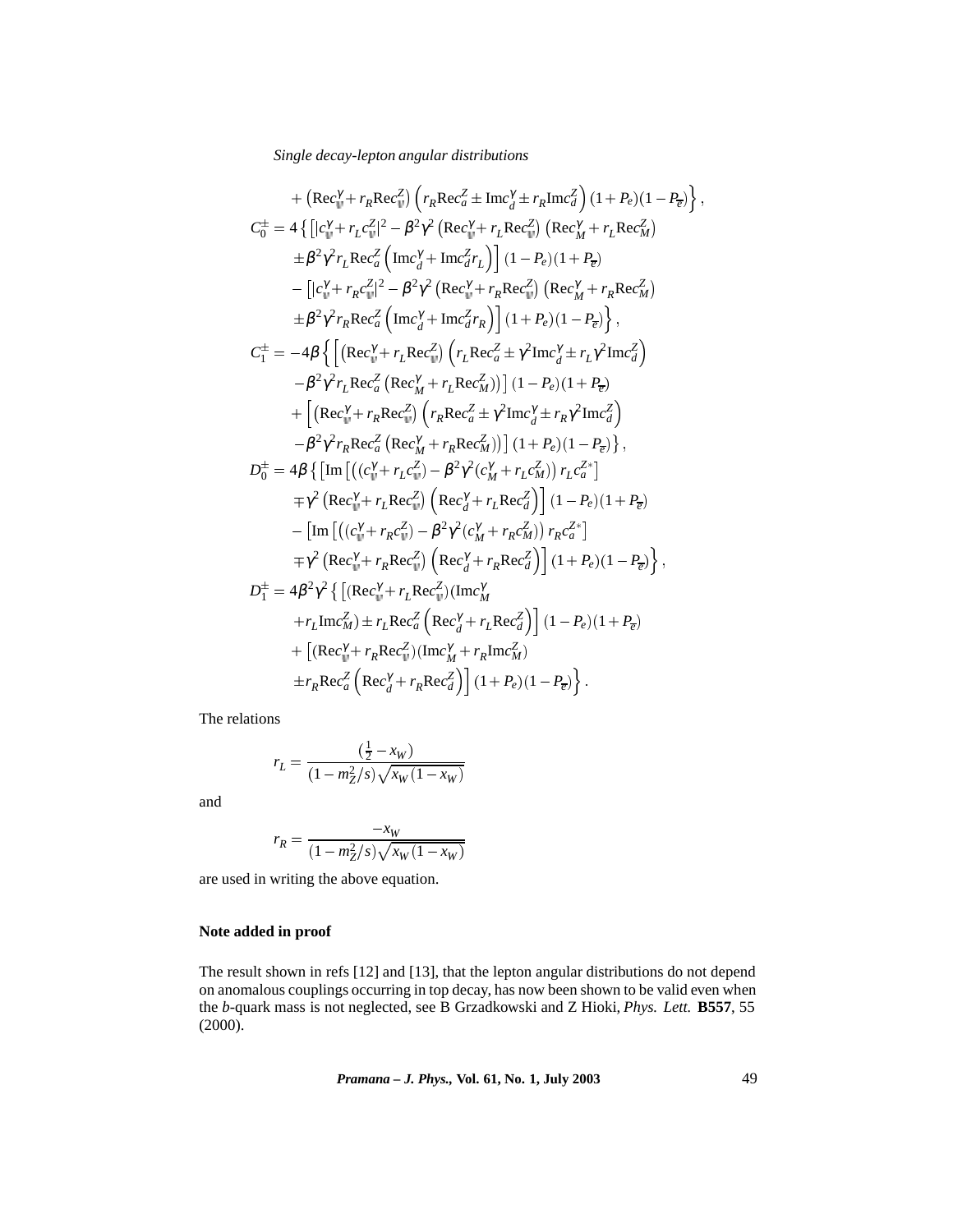+ 
$$
(\text{Rec}_{u}^{\gamma} + r_{R}\text{Rec}_{u}^{\gamma}) \left(r_{R}\text{Rec}_{d}^{\gamma} \pm r_{R}\text{Inc}_{d}^{\gamma}\right) (1 + P_{e})(1 - P_{\overline{e}}) \right\},
$$
  
\n
$$
C_{0}^{\pm} = 4 \left\{ \left[ |c_{u}^{\gamma} + r_{L}c_{u}^{\gamma}|^{2} - \beta^{2}\gamma^{2} \left( \text{Rec}_{u}^{\gamma} + r_{L}\text{Rec}_{u}^{\gamma} \right) \left( \text{Rec}_{M}^{\gamma} + r_{L}\text{Rec}_{M}^{\gamma} \right) \right. \\ \left. + \beta^{2}\gamma^{2}r_{L}\text{Rec}_{d}^{\gamma} \left[ \text{Inc}_{d}^{\gamma} + \text{Inc}_{d}^{\gamma}r_{L} \right] \right] (1 - P_{e})(1 + P_{\overline{e}})
$$
\n
$$
- \left[ |c_{u}^{\gamma} + r_{R}c_{u}^{\gamma}|^{2} - \beta^{2}\gamma^{2} \left( \text{Rec}_{u}^{\gamma} + r_{R}\text{Rec}_{u}^{\gamma} \right) \left( \text{Rec}_{M}^{\gamma} + r_{R}\text{Rec}_{M}^{\gamma} \right) \right. \\ \left. + \beta^{2}\gamma^{2}r_{R}\text{Rec}_{d}^{\gamma} \left[ \text{Inc}_{d}^{\gamma} + \text{Inc}_{d}^{\gamma}r_{R} \right] \right] (1 + P_{e})(1 - P_{\overline{e}}) \right\},
$$
\n
$$
C_{1}^{\pm} = -4\beta \left\{ \left[ (\text{Rec}_{u}^{\gamma} + r_{L}\text{Rec}_{u}^{\gamma}) \left( r_{L}\text{Rec}_{d}^{\gamma} \pm r_{L}\text{Inc}_{d}^{\gamma} \right) \right. \\ \left. - \beta^{2}\gamma^{2}r_{L}\text{Rec}_{d}^{\gamma} \left( \text{Rec}_{M}^{\gamma} + r_{L}\text{Rec}_{M}^{\gamma} \right) \right] (1 - P_{e})(1 + P_{\overline{e}})
$$
\n
$$
+ \left[ (\text{Rec}_{u}^{\gamma} + r_{R}\text{Rec}_{u}^{\gamma}) \left( r_{L}\text{Rec}_{d}^{\gamma} \pm r_{L}\text{Inc}_{d}^{\gamma} \right) \right. \\ \left. - \beta^{2}\
$$

The relations

$$
r_L = \frac{(\frac{1}{2} - x_W)}{(1 - m_Z^2/s)\sqrt{x_W(1 - x_W)}}
$$

and

$$
r_R = \frac{-x_W}{(1 - m_Z^2/s)\sqrt{x_W(1 - x_W)}}
$$

are used in writing the above equation.

# **Note added in proof**

The result shown in refs [12] and [13], that the lepton angular distributions do not depend on anomalous couplings occurring in top decay, has now been shown to be valid even when the *b*-quark mass is not neglected, see B Grzadkowski and Z Hioki, *Phys. Lett.* **B557**, 55 (2000).